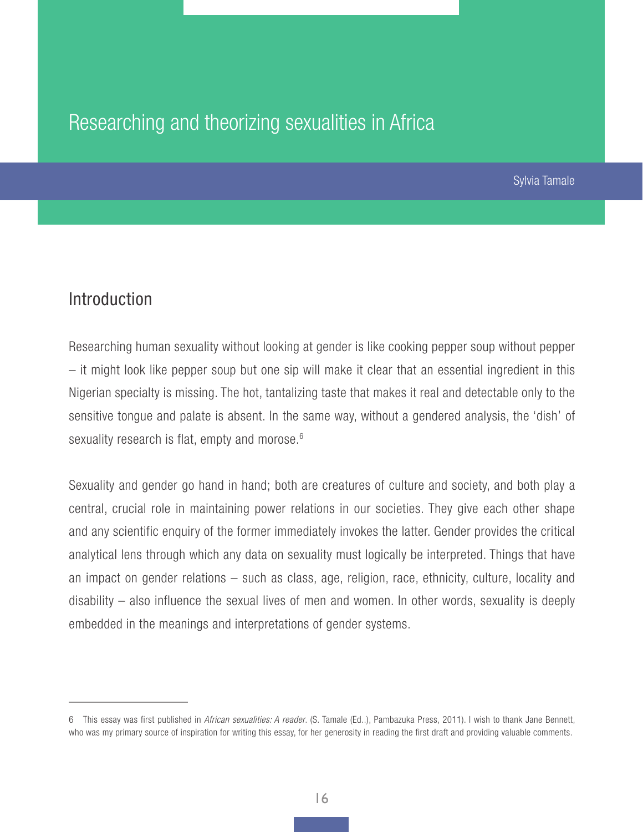# Researching and theorizing sexualities in Africa

Sylvia Tamale

#### Introduction

Researching human sexuality without looking at gender is like cooking pepper soup without pepper – it might look like pepper soup but one sip will make it clear that an essential ingredient in this Nigerian specialty is missing. The hot, tantalizing taste that makes it real and detectable only to the sensitive tongue and palate is absent. In the same way, without a gendered analysis, the 'dish' of sexuality research is flat, empty and morose.<sup>6</sup>

Sexuality and gender go hand in hand; both are creatures of culture and society, and both play a central, crucial role in maintaining power relations in our societies. They give each other shape and any scientific enquiry of the former immediately invokes the latter. Gender provides the critical analytical lens through which any data on sexuality must logically be interpreted. Things that have an impact on gender relations – such as class, age, religion, race, ethnicity, culture, locality and disability – also influence the sexual lives of men and women. In other words, sexuality is deeply embedded in the meanings and interpretations of gender systems.

<sup>6</sup> This essay was first published in *African sexualities: A reader*. (S. Tamale (Ed..), Pambazuka Press, 2011). I wish to thank Jane Bennett, who was my primary source of inspiration for writing this essay, for her generosity in reading the first draft and providing valuable comments.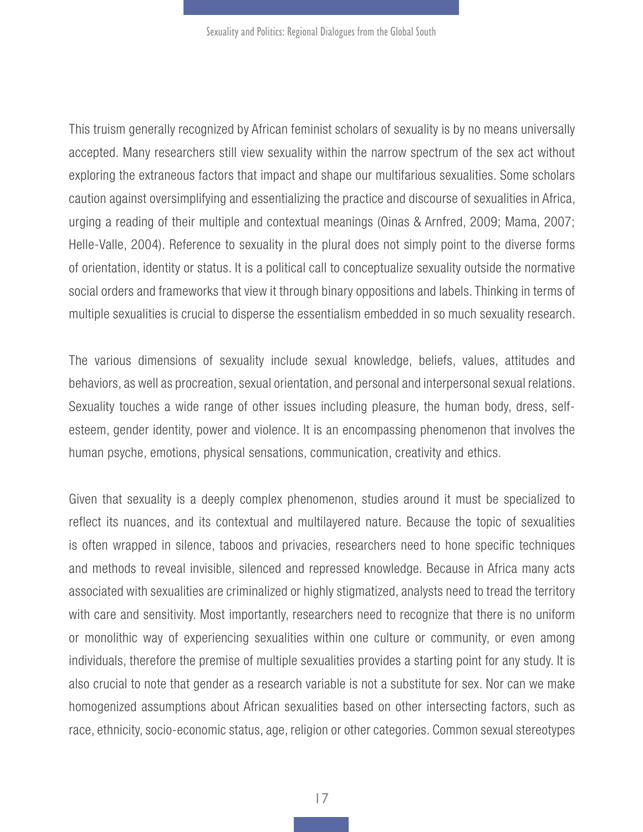This truism generally recognized by African feminist scholars of sexuality is by no means universally accepted. Many researchers still view sexuality within the narrow spectrum of the sex act without exploring the extraneous factors that impact and shape our multifarious sexualities. Some scholars caution against oversimplifying and essentializing the practice and discourse of sexualities in Africa, urging a reading of their multiple and contextual meanings (Oinas & Arnfred, 2009; Mama, 2007; Helle-Valle, 2004). Reference to sexuality in the plural does not simply point to the diverse forms of orientation, identity or status. It is a political call to conceptualize sexuality outside the normative social orders and frameworks that view it through binary oppositions and labels. Thinking in terms of multiple sexualities is crucial to disperse the essentialism embedded in so much sexuality research.

The various dimensions of sexuality include sexual knowledge, beliefs, values, attitudes and behaviors, as well as procreation, sexual orientation, and personal and interpersonal sexual relations. Sexuality touches a wide range of other issues including pleasure, the human body, dress, selfesteem, gender identity, power and violence. It is an encompassing phenomenon that involves the human psyche, emotions, physical sensations, communication, creativity and ethics.

Given that sexuality is a deeply complex phenomenon, studies around it must be specialized to reflect its nuances, and its contextual and multilayered nature. Because the topic of sexualities is often wrapped in silence, taboos and privacies, researchers need to hone specific techniques and methods to reveal invisible, silenced and repressed knowledge. Because in Africa many acts associated with sexualities are criminalized or highly stigmatized, analysts need to tread the territory with care and sensitivity. Most importantly, researchers need to recognize that there is no uniform or monolithic way of experiencing sexualities within one culture or community, or even among individuals, therefore the premise of multiple sexualities provides a starting point for any study. It is also crucial to note that gender as a research variable is not a substitute for sex. Nor can we make homogenized assumptions about African sexualities based on other intersecting factors, such as race, ethnicity, socio-economic status, age, religion or other categories. Common sexual stereotypes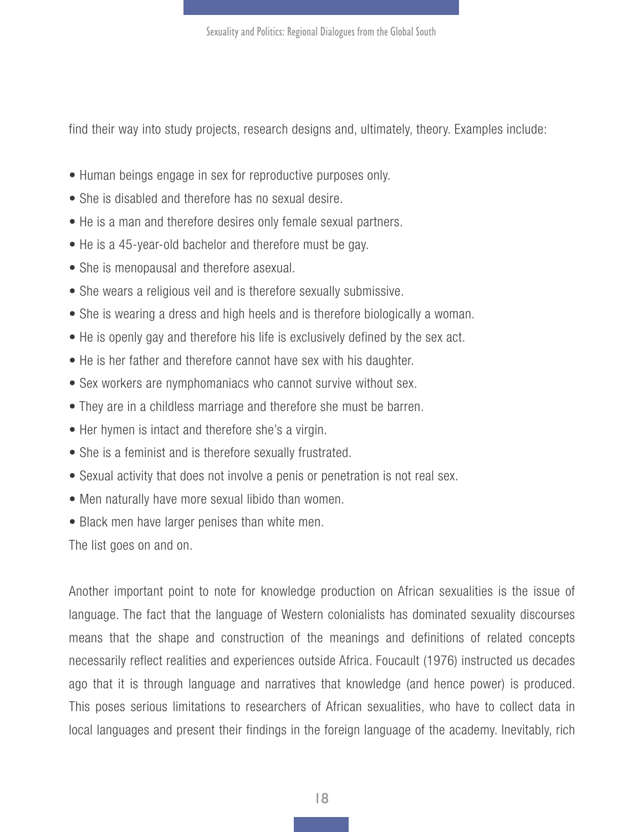find their way into study projects, research designs and, ultimately, theory. Examples include:

- Human beings engage in sex for reproductive purposes only.
- She is disabled and therefore has no sexual desire.
- He is a man and therefore desires only female sexual partners.
- He is a 45-year-old bachelor and therefore must be gay.
- She is menopausal and therefore asexual.
- She wears a religious veil and is therefore sexually submissive.
- She is wearing a dress and high heels and is therefore biologically a woman.
- He is openly gay and therefore his life is exclusively defined by the sex act.
- He is her father and therefore cannot have sex with his daughter.
- Sex workers are nymphomaniacs who cannot survive without sex.
- They are in a childless marriage and therefore she must be barren.
- Her hymen is intact and therefore she's a virgin.
- She is a feminist and is therefore sexually frustrated.
- Sexual activity that does not involve a penis or penetration is not real sex.
- Men naturally have more sexual libido than women.
- Black men have larger penises than white men.

The list goes on and on.

Another important point to note for knowledge production on African sexualities is the issue of language. The fact that the language of Western colonialists has dominated sexuality discourses means that the shape and construction of the meanings and definitions of related concepts necessarily reflect realities and experiences outside Africa. Foucault (1976) instructed us decades ago that it is through language and narratives that knowledge (and hence power) is produced. This poses serious limitations to researchers of African sexualities, who have to collect data in local languages and present their findings in the foreign language of the academy. Inevitably, rich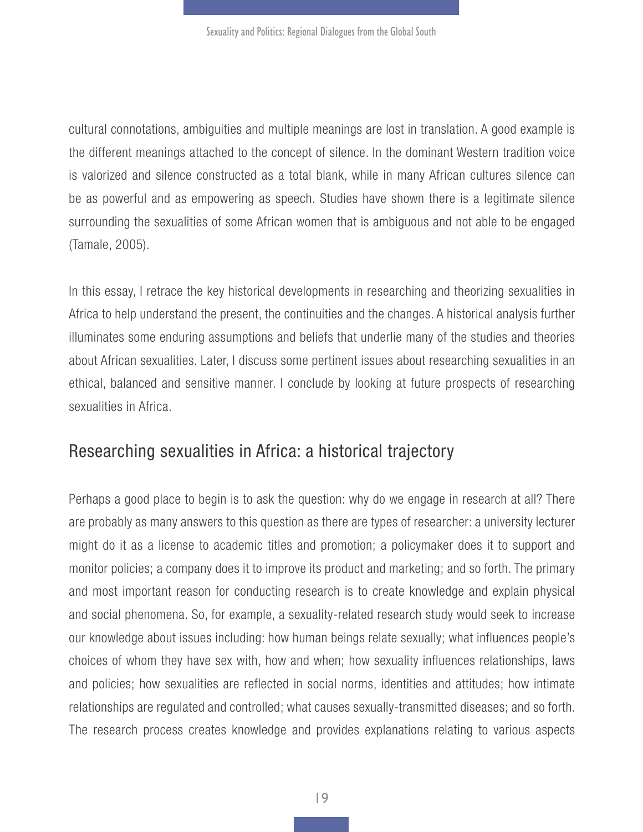cultural connotations, ambiguities and multiple meanings are lost in translation. A good example is the different meanings attached to the concept of silence. In the dominant Western tradition voice is valorized and silence constructed as a total blank, while in many African cultures silence can be as powerful and as empowering as speech. Studies have shown there is a legitimate silence surrounding the sexualities of some African women that is ambiguous and not able to be engaged (Tamale, 2005).

In this essay, I retrace the key historical developments in researching and theorizing sexualities in Africa to help understand the present, the continuities and the changes. A historical analysis further illuminates some enduring assumptions and beliefs that underlie many of the studies and theories about African sexualities. Later, I discuss some pertinent issues about researching sexualities in an ethical, balanced and sensitive manner. I conclude by looking at future prospects of researching sexualities in Africa.

## Researching sexualities in Africa: a historical trajectory

Perhaps a good place to begin is to ask the question: why do we engage in research at all? There are probably as many answers to this question as there are types of researcher: a university lecturer might do it as a license to academic titles and promotion; a policymaker does it to support and monitor policies; a company does it to improve its product and marketing; and so forth. The primary and most important reason for conducting research is to create knowledge and explain physical and social phenomena. So, for example, a sexuality-related research study would seek to increase our knowledge about issues including: how human beings relate sexually; what influences people's choices of whom they have sex with, how and when; how sexuality influences relationships, laws and policies; how sexualities are reflected in social norms, identities and attitudes; how intimate relationships are regulated and controlled; what causes sexually-transmitted diseases; and so forth. The research process creates knowledge and provides explanations relating to various aspects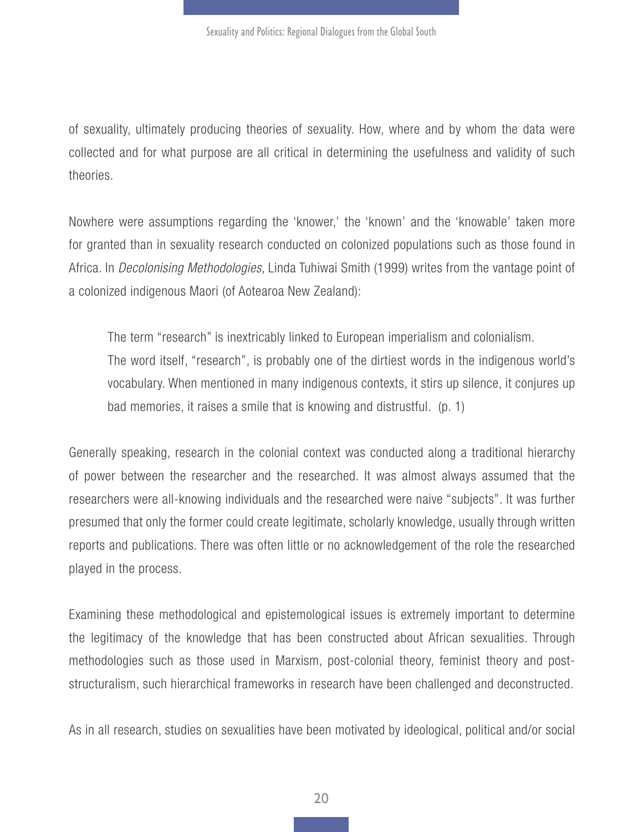of sexuality, ultimately producing theories of sexuality. How, where and by whom the data were collected and for what purpose are all critical in determining the usefulness and validity of such theories.

Nowhere were assumptions regarding the 'knower,' the 'known' and the 'knowable' taken more for granted than in sexuality research conducted on colonized populations such as those found in Africa. In *Decolonising Methodologies*, Linda Tuhiwai Smith (1999) writes from the vantage point of a colonized indigenous Maori (of Aotearoa New Zealand):

The term "research" is inextricably linked to European imperialism and colonialism. The word itself, "research", is probably one of the dirtiest words in the indigenous world's vocabulary. When mentioned in many indigenous contexts, it stirs up silence, it conjures up bad memories, it raises a smile that is knowing and distrustful. (p. 1)

Generally speaking, research in the colonial context was conducted along a traditional hierarchy of power between the researcher and the researched. It was almost always assumed that the researchers were all-knowing individuals and the researched were naive "subjects". It was further presumed that only the former could create legitimate, scholarly knowledge, usually through written reports and publications. There was often little or no acknowledgement of the role the researched played in the process.

Examining these methodological and epistemological issues is extremely important to determine the legitimacy of the knowledge that has been constructed about African sexualities. Through methodologies such as those used in Marxism, post-colonial theory, feminist theory and poststructuralism, such hierarchical frameworks in research have been challenged and deconstructed.

As in all research, studies on sexualities have been motivated by ideological, political and/or social

20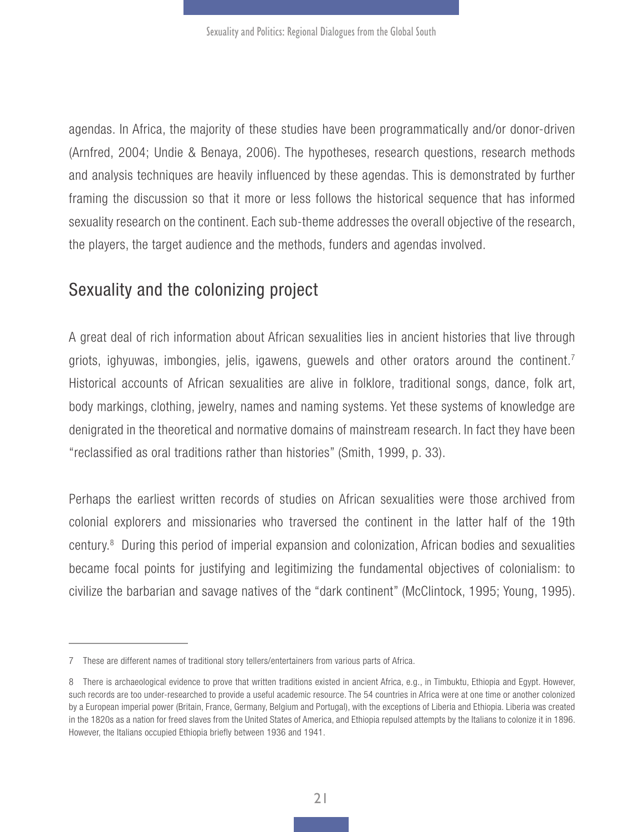agendas. In Africa, the majority of these studies have been programmatically and/or donor-driven (Arnfred, 2004; Undie & Benaya, 2006). The hypotheses, research questions, research methods and analysis techniques are heavily influenced by these agendas. This is demonstrated by further framing the discussion so that it more or less follows the historical sequence that has informed sexuality research on the continent. Each sub-theme addresses the overall objective of the research, the players, the target audience and the methods, funders and agendas involved.

## Sexuality and the colonizing project

A great deal of rich information about African sexualities lies in ancient histories that live through griots, ighyuwas, imbongies, jelis, igawens, guewels and other orators around the continent.<sup>7</sup> Historical accounts of African sexualities are alive in folklore, traditional songs, dance, folk art, body markings, clothing, jewelry, names and naming systems. Yet these systems of knowledge are denigrated in the theoretical and normative domains of mainstream research. In fact they have been "reclassified as oral traditions rather than histories" (Smith, 1999, p. 33).

Perhaps the earliest written records of studies on African sexualities were those archived from colonial explorers and missionaries who traversed the continent in the latter half of the 19th century.8 During this period of imperial expansion and colonization, African bodies and sexualities became focal points for justifying and legitimizing the fundamental objectives of colonialism: to civilize the barbarian and savage natives of the "dark continent" (McClintock, 1995; Young, 1995).

<sup>7</sup> These are different names of traditional story tellers/entertainers from various parts of Africa.

<sup>8</sup> There is archaeological evidence to prove that written traditions existed in ancient Africa, e.g., in Timbuktu, Ethiopia and Egypt. However, such records are too under-researched to provide a useful academic resource. The 54 countries in Africa were at one time or another colonized by a European imperial power (Britain, France, Germany, Belgium and Portugal), with the exceptions of Liberia and Ethiopia. Liberia was created in the 1820s as a nation for freed slaves from the United States of America, and Ethiopia repulsed attempts by the Italians to colonize it in 1896. However, the Italians occupied Ethiopia briefly between 1936 and 1941.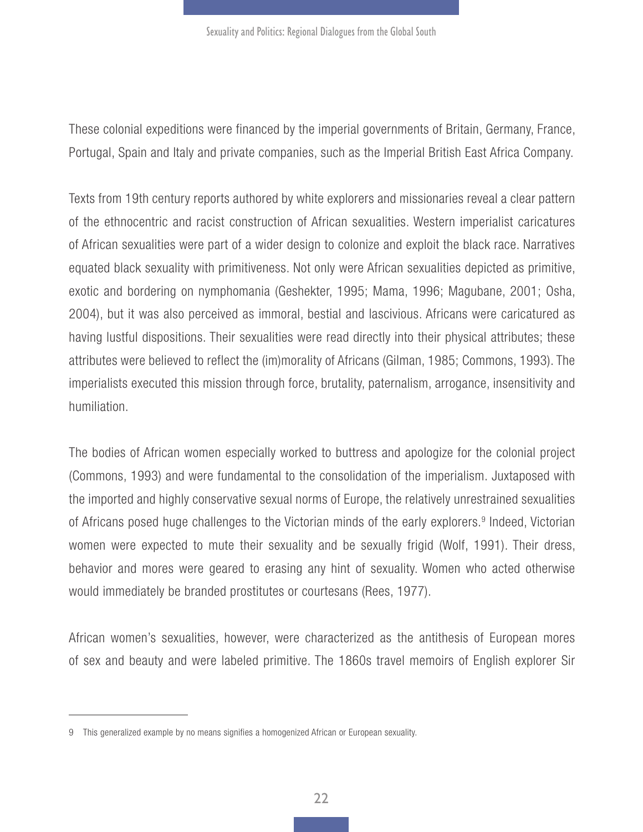These colonial expeditions were financed by the imperial governments of Britain, Germany, France, Portugal, Spain and Italy and private companies, such as the Imperial British East Africa Company.

Texts from 19th century reports authored by white explorers and missionaries reveal a clear pattern of the ethnocentric and racist construction of African sexualities. Western imperialist caricatures of African sexualities were part of a wider design to colonize and exploit the black race. Narratives equated black sexuality with primitiveness. Not only were African sexualities depicted as primitive, exotic and bordering on nymphomania (Geshekter, 1995; Mama, 1996; Magubane, 2001; Osha, 2004), but it was also perceived as immoral, bestial and lascivious. Africans were caricatured as having lustful dispositions. Their sexualities were read directly into their physical attributes; these attributes were believed to reflect the (im)morality of Africans (Gilman, 1985; Commons, 1993). The imperialists executed this mission through force, brutality, paternalism, arrogance, insensitivity and humiliation.

The bodies of African women especially worked to buttress and apologize for the colonial project (Commons, 1993) and were fundamental to the consolidation of the imperialism. Juxtaposed with the imported and highly conservative sexual norms of Europe, the relatively unrestrained sexualities of Africans posed huge challenges to the Victorian minds of the early explorers.<sup>9</sup> Indeed, Victorian women were expected to mute their sexuality and be sexually frigid (Wolf, 1991). Their dress, behavior and mores were geared to erasing any hint of sexuality. Women who acted otherwise would immediately be branded prostitutes or courtesans (Rees, 1977).

African women's sexualities, however, were characterized as the antithesis of European mores of sex and beauty and were labeled primitive. The 1860s travel memoirs of English explorer Sir

<sup>9</sup> This generalized example by no means signifies a homogenized African or European sexuality.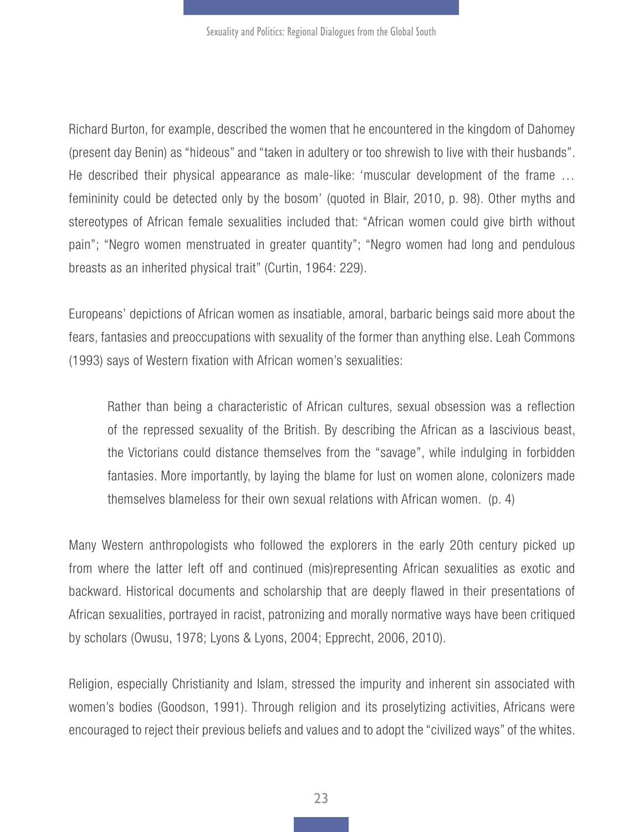Richard Burton, for example, described the women that he encountered in the kingdom of Dahomey (present day Benin) as "hideous" and "taken in adultery or too shrewish to live with their husbands". He described their physical appearance as male-like: 'muscular development of the frame … femininity could be detected only by the bosom' (quoted in Blair, 2010, p. 98). Other myths and stereotypes of African female sexualities included that: "African women could give birth without pain"; "Negro women menstruated in greater quantity"; "Negro women had long and pendulous breasts as an inherited physical trait" (Curtin, 1964: 229).

Europeans' depictions of African women as insatiable, amoral, barbaric beings said more about the fears, fantasies and preoccupations with sexuality of the former than anything else. Leah Commons (1993) says of Western fixation with African women's sexualities:

Rather than being a characteristic of African cultures, sexual obsession was a reflection of the repressed sexuality of the British. By describing the African as a lascivious beast, the Victorians could distance themselves from the "savage", while indulging in forbidden fantasies. More importantly, by laying the blame for lust on women alone, colonizers made themselves blameless for their own sexual relations with African women. (p. 4)

Many Western anthropologists who followed the explorers in the early 20th century picked up from where the latter left off and continued (mis)representing African sexualities as exotic and backward. Historical documents and scholarship that are deeply flawed in their presentations of African sexualities, portrayed in racist, patronizing and morally normative ways have been critiqued by scholars (Owusu, 1978; Lyons & Lyons, 2004; Epprecht, 2006, 2010).

Religion, especially Christianity and Islam, stressed the impurity and inherent sin associated with women's bodies (Goodson, 1991). Through religion and its proselytizing activities, Africans were encouraged to reject their previous beliefs and values and to adopt the "civilized ways" of the whites.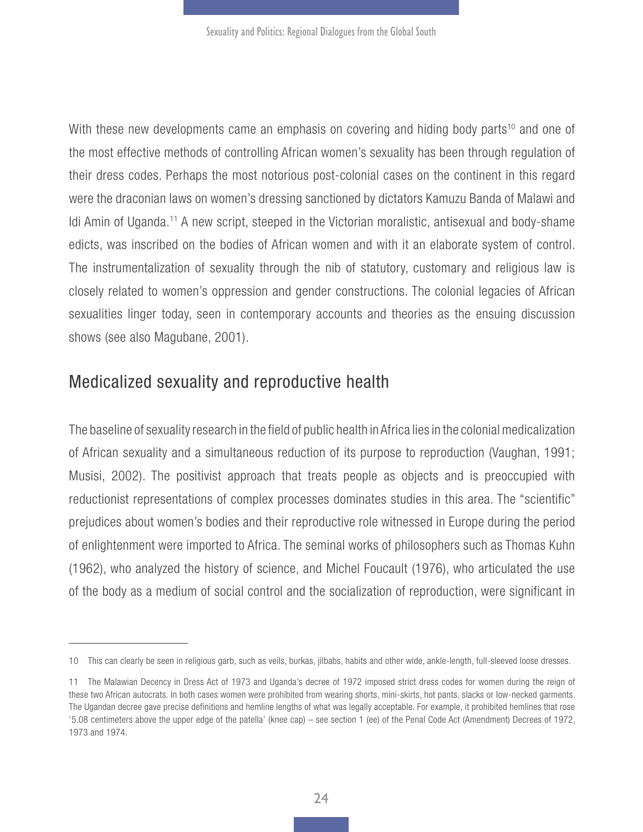With these new developments came an emphasis on covering and hiding body parts<sup>10</sup> and one of the most effective methods of controlling African women's sexuality has been through regulation of their dress codes. Perhaps the most notorious post-colonial cases on the continent in this regard were the draconian laws on women's dressing sanctioned by dictators Kamuzu Banda of Malawi and Idi Amin of Uganda.<sup>11</sup> A new script, steeped in the Victorian moralistic, antisexual and body-shame edicts, was inscribed on the bodies of African women and with it an elaborate system of control. The instrumentalization of sexuality through the nib of statutory, customary and religious law is closely related to women's oppression and gender constructions. The colonial legacies of African sexualities linger today, seen in contemporary accounts and theories as the ensuing discussion shows (see also Magubane, 2001).

## Medicalized sexuality and reproductive health

The baseline of sexuality research in the field of public health in Africa lies in the colonial medicalization of African sexuality and a simultaneous reduction of its purpose to reproduction (Vaughan, 1991; Musisi, 2002). The positivist approach that treats people as objects and is preoccupied with reductionist representations of complex processes dominates studies in this area. The "scientific" prejudices about women's bodies and their reproductive role witnessed in Europe during the period of enlightenment were imported to Africa. The seminal works of philosophers such as Thomas Kuhn (1962), who analyzed the history of science, and Michel Foucault (1976), who articulated the use of the body as a medium of social control and the socialization of reproduction, were significant in

<sup>10</sup> This can clearly be seen in religious garb, such as veils, burkas, jilbabs, habits and other wide, ankle-length, full-sleeved loose dresses.

<sup>11</sup> The Malawian Decency in Dress Act of 1973 and Uganda's decree of 1972 imposed strict dress codes for women during the reign of these two African autocrats. In both cases women were prohibited from wearing shorts, mini-skirts, hot pants, slacks or low-necked garments. The Ugandan decree gave precise definitions and hemline lengths of what was legally acceptable. For example, it prohibited hemlines that rose '5.08 centimeters above the upper edge of the patella' (knee cap) – see section 1 (ee) of the Penal Code Act (Amendment) Decrees of 1972, 1973 and 1974.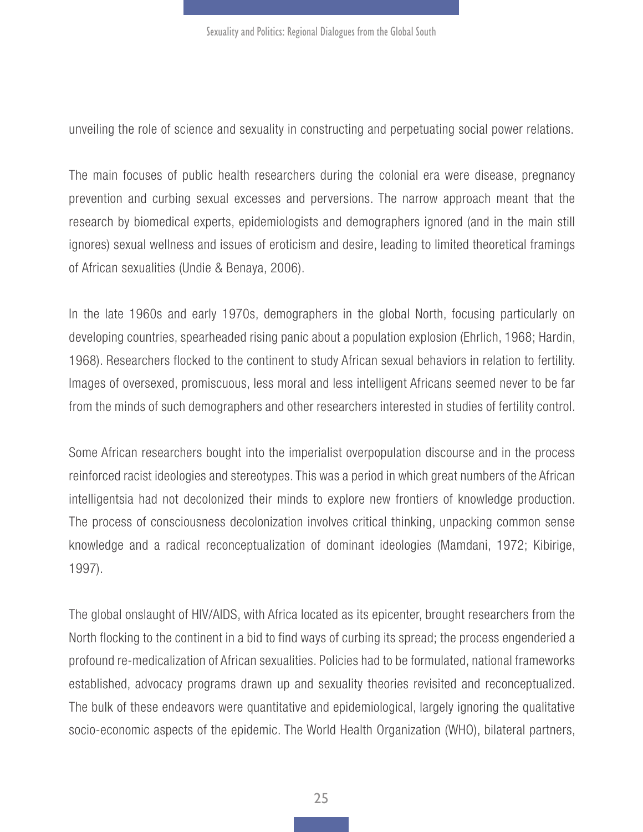unveiling the role of science and sexuality in constructing and perpetuating social power relations.

The main focuses of public health researchers during the colonial era were disease, pregnancy prevention and curbing sexual excesses and perversions. The narrow approach meant that the research by biomedical experts, epidemiologists and demographers ignored (and in the main still ignores) sexual wellness and issues of eroticism and desire, leading to limited theoretical framings of African sexualities (Undie & Benaya, 2006).

In the late 1960s and early 1970s, demographers in the global North, focusing particularly on developing countries, spearheaded rising panic about a population explosion (Ehrlich, 1968; Hardin, 1968). Researchers flocked to the continent to study African sexual behaviors in relation to fertility. Images of oversexed, promiscuous, less moral and less intelligent Africans seemed never to be far from the minds of such demographers and other researchers interested in studies of fertility control.

Some African researchers bought into the imperialist overpopulation discourse and in the process reinforced racist ideologies and stereotypes. This was a period in which great numbers of the African intelligentsia had not decolonized their minds to explore new frontiers of knowledge production. The process of consciousness decolonization involves critical thinking, unpacking common sense knowledge and a radical reconceptualization of dominant ideologies (Mamdani, 1972; Kibirige, 1997).

The global onslaught of HIV/AIDS, with Africa located as its epicenter, brought researchers from the North flocking to the continent in a bid to find ways of curbing its spread; the process engenderied a profound re-medicalization of African sexualities. Policies had to be formulated, national frameworks established, advocacy programs drawn up and sexuality theories revisited and reconceptualized. The bulk of these endeavors were quantitative and epidemiological, largely ignoring the qualitative socio-economic aspects of the epidemic. The World Health Organization (WHO), bilateral partners,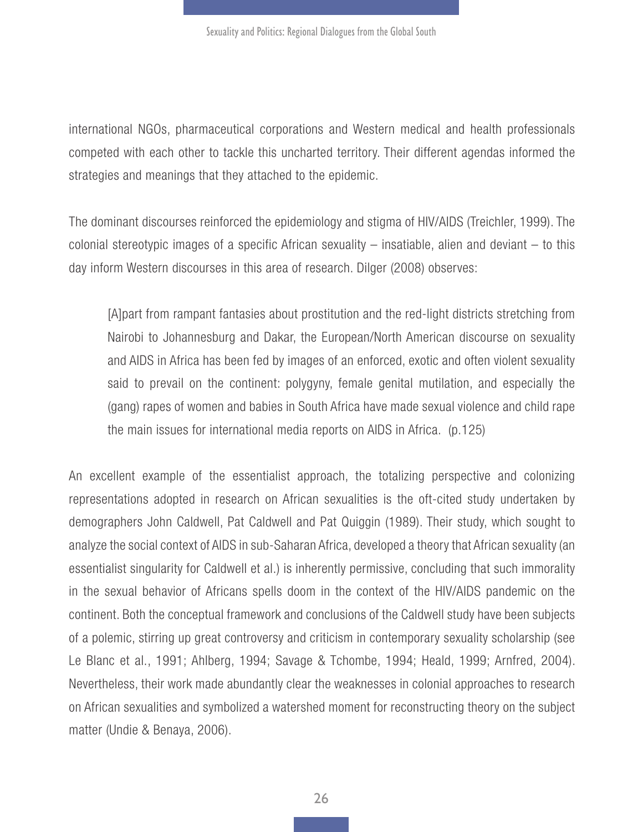international NGOs, pharmaceutical corporations and Western medical and health professionals competed with each other to tackle this uncharted territory. Their different agendas informed the strategies and meanings that they attached to the epidemic.

The dominant discourses reinforced the epidemiology and stigma of HIV/AIDS (Treichler, 1999). The colonial stereotypic images of a specific African sexuality – insatiable, alien and deviant – to this day inform Western discourses in this area of research. Dilger (2008) observes:

[A]part from rampant fantasies about prostitution and the red-light districts stretching from Nairobi to Johannesburg and Dakar, the European/North American discourse on sexuality and AIDS in Africa has been fed by images of an enforced, exotic and often violent sexuality said to prevail on the continent: polygyny, female genital mutilation, and especially the (gang) rapes of women and babies in South Africa have made sexual violence and child rape the main issues for international media reports on AIDS in Africa. (p.125)

An excellent example of the essentialist approach, the totalizing perspective and colonizing representations adopted in research on African sexualities is the oft-cited study undertaken by demographers John Caldwell, Pat Caldwell and Pat Quiggin (1989). Their study, which sought to analyze the social context of AIDS in sub-Saharan Africa, developed a theory that African sexuality (an essentialist singularity for Caldwell et al.) is inherently permissive, concluding that such immorality in the sexual behavior of Africans spells doom in the context of the HIV/AIDS pandemic on the continent. Both the conceptual framework and conclusions of the Caldwell study have been subjects of a polemic, stirring up great controversy and criticism in contemporary sexuality scholarship (see Le Blanc et al., 1991; Ahlberg, 1994; Savage & Tchombe, 1994; Heald, 1999; Arnfred, 2004). Nevertheless, their work made abundantly clear the weaknesses in colonial approaches to research on African sexualities and symbolized a watershed moment for reconstructing theory on the subject matter (Undie & Benaya, 2006).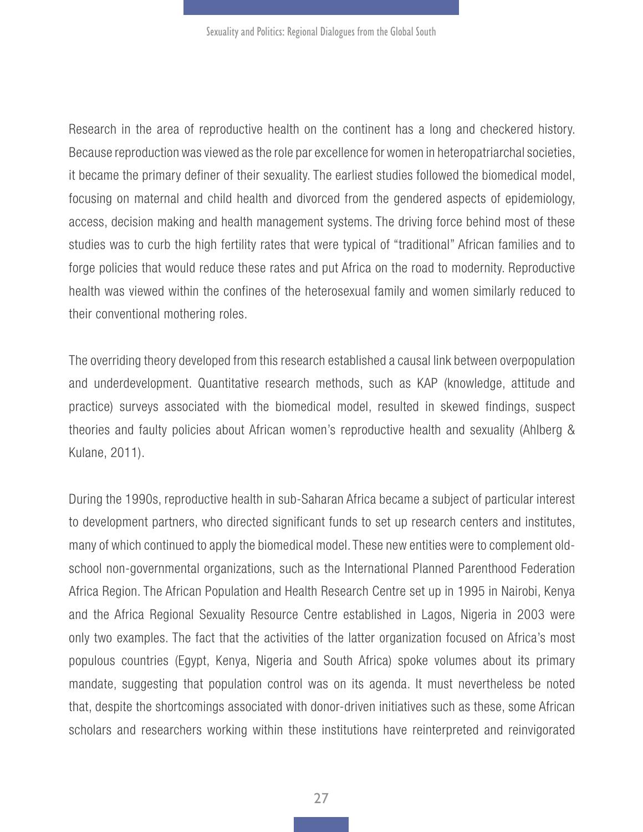Research in the area of reproductive health on the continent has a long and checkered history. Because reproduction was viewed as the role par excellence for women in heteropatriarchal societies, it became the primary definer of their sexuality. The earliest studies followed the biomedical model, focusing on maternal and child health and divorced from the gendered aspects of epidemiology, access, decision making and health management systems. The driving force behind most of these studies was to curb the high fertility rates that were typical of "traditional" African families and to forge policies that would reduce these rates and put Africa on the road to modernity. Reproductive health was viewed within the confines of the heterosexual family and women similarly reduced to their conventional mothering roles.

The overriding theory developed from this research established a causal link between overpopulation and underdevelopment. Quantitative research methods, such as KAP (knowledge, attitude and practice) surveys associated with the biomedical model, resulted in skewed findings, suspect theories and faulty policies about African women's reproductive health and sexuality (Ahlberg & Kulane, 2011).

During the 1990s, reproductive health in sub-Saharan Africa became a subject of particular interest to development partners, who directed significant funds to set up research centers and institutes, many of which continued to apply the biomedical model. These new entities were to complement oldschool non-governmental organizations, such as the International Planned Parenthood Federation Africa Region. The African Population and Health Research Centre set up in 1995 in Nairobi, Kenya and the Africa Regional Sexuality Resource Centre established in Lagos, Nigeria in 2003 were only two examples. The fact that the activities of the latter organization focused on Africa's most populous countries (Egypt, Kenya, Nigeria and South Africa) spoke volumes about its primary mandate, suggesting that population control was on its agenda. It must nevertheless be noted that, despite the shortcomings associated with donor-driven initiatives such as these, some African scholars and researchers working within these institutions have reinterpreted and reinvigorated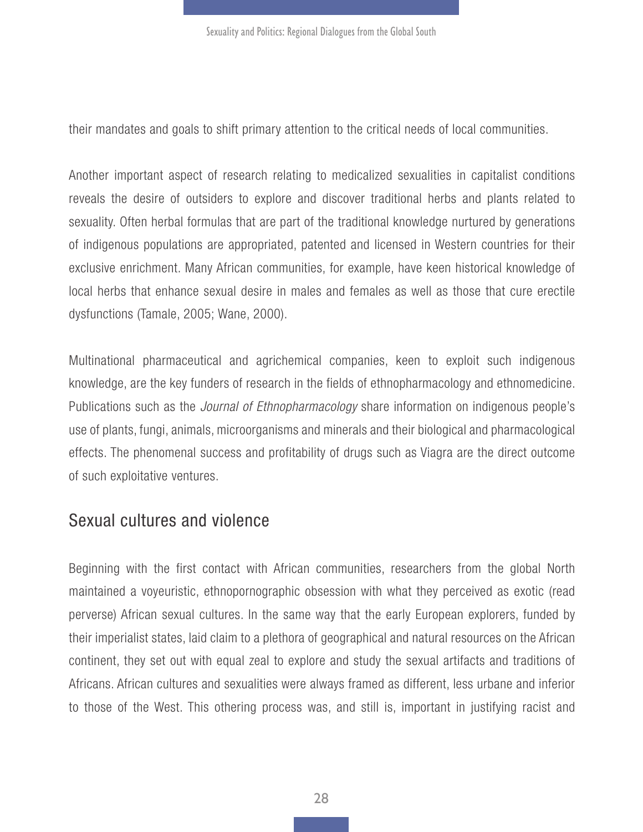their mandates and goals to shift primary attention to the critical needs of local communities.

Another important aspect of research relating to medicalized sexualities in capitalist conditions reveals the desire of outsiders to explore and discover traditional herbs and plants related to sexuality. Often herbal formulas that are part of the traditional knowledge nurtured by generations of indigenous populations are appropriated, patented and licensed in Western countries for their exclusive enrichment. Many African communities, for example, have keen historical knowledge of local herbs that enhance sexual desire in males and females as well as those that cure erectile dysfunctions (Tamale, 2005; Wane, 2000).

Multinational pharmaceutical and agrichemical companies, keen to exploit such indigenous knowledge, are the key funders of research in the fields of ethnopharmacology and ethnomedicine. Publications such as the *Journal of Ethnopharmacology* share information on indigenous people's use of plants, fungi, animals, microorganisms and minerals and their biological and pharmacological effects. The phenomenal success and profitability of drugs such as Viagra are the direct outcome of such exploitative ventures.

### Sexual cultures and violence

Beginning with the first contact with African communities, researchers from the global North maintained a voyeuristic, ethnopornographic obsession with what they perceived as exotic (read perverse) African sexual cultures. In the same way that the early European explorers, funded by their imperialist states, laid claim to a plethora of geographical and natural resources on the African continent, they set out with equal zeal to explore and study the sexual artifacts and traditions of Africans. African cultures and sexualities were always framed as different, less urbane and inferior to those of the West. This othering process was, and still is, important in justifying racist and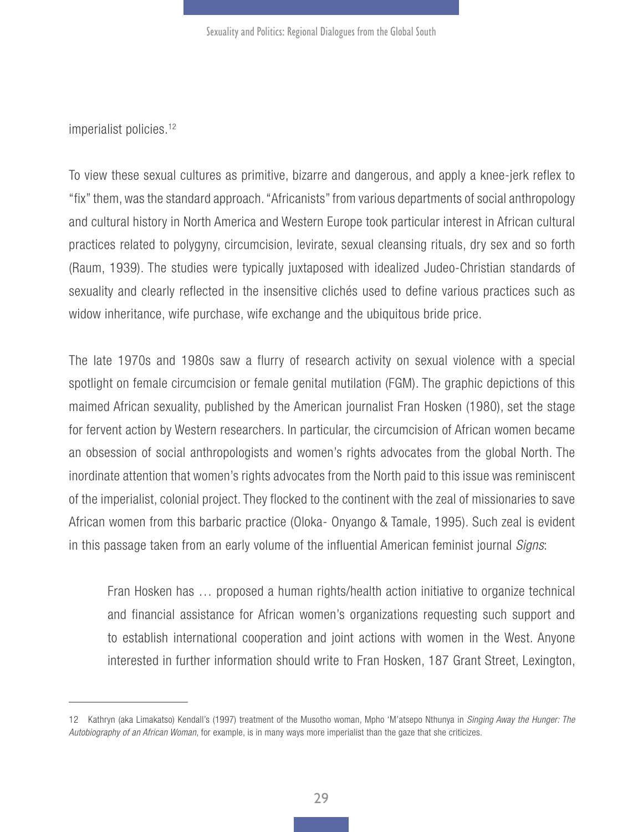imperialist policies.<sup>12</sup>

To view these sexual cultures as primitive, bizarre and dangerous, and apply a knee-jerk reflex to "fix" them, was the standard approach. "Africanists" from various departments of social anthropology and cultural history in North America and Western Europe took particular interest in African cultural practices related to polygyny, circumcision, levirate, sexual cleansing rituals, dry sex and so forth (Raum, 1939). The studies were typically juxtaposed with idealized Judeo-Christian standards of sexuality and clearly reflected in the insensitive clichés used to define various practices such as widow inheritance, wife purchase, wife exchange and the ubiquitous bride price.

The late 1970s and 1980s saw a flurry of research activity on sexual violence with a special spotlight on female circumcision or female genital mutilation (FGM). The graphic depictions of this maimed African sexuality, published by the American journalist Fran Hosken (1980), set the stage for fervent action by Western researchers. In particular, the circumcision of African women became an obsession of social anthropologists and women's rights advocates from the global North. The inordinate attention that women's rights advocates from the North paid to this issue was reminiscent of the imperialist, colonial project. They flocked to the continent with the zeal of missionaries to save African women from this barbaric practice (Oloka- Onyango & Tamale, 1995). Such zeal is evident in this passage taken from an early volume of the influential American feminist journal *Signs*:

Fran Hosken has … proposed a human rights/health action initiative to organize technical and financial assistance for African women's organizations requesting such support and to establish international cooperation and joint actions with women in the West. Anyone interested in further information should write to Fran Hosken, 187 Grant Street, Lexington,

<sup>12</sup> Kathryn (aka Limakatso) Kendall's (1997) treatment of the Musotho woman, Mpho 'M'atsepo Nthunya in *Singing Away the Hunger: The Autobiography of an African Woman*, for example, is in many ways more imperialist than the gaze that she criticizes.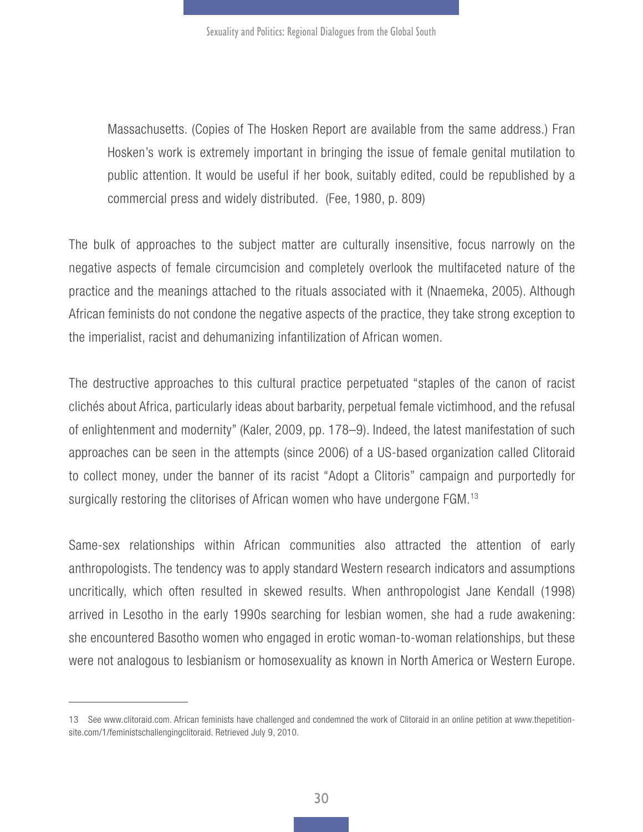Massachusetts. (Copies of The Hosken Report are available from the same address.) Fran Hosken's work is extremely important in bringing the issue of female genital mutilation to public attention. It would be useful if her book, suitably edited, could be republished by a commercial press and widely distributed. (Fee, 1980, p. 809)

The bulk of approaches to the subject matter are culturally insensitive, focus narrowly on the negative aspects of female circumcision and completely overlook the multifaceted nature of the practice and the meanings attached to the rituals associated with it (Nnaemeka, 2005). Although African feminists do not condone the negative aspects of the practice, they take strong exception to the imperialist, racist and dehumanizing infantilization of African women.

The destructive approaches to this cultural practice perpetuated "staples of the canon of racist clichés about Africa, particularly ideas about barbarity, perpetual female victimhood, and the refusal of enlightenment and modernity" (Kaler, 2009, pp. 178–9). Indeed, the latest manifestation of such approaches can be seen in the attempts (since 2006) of a US-based organization called Clitoraid to collect money, under the banner of its racist "Adopt a Clitoris" campaign and purportedly for surgically restoring the clitorises of African women who have undergone FGM.<sup>13</sup>

Same-sex relationships within African communities also attracted the attention of early anthropologists. The tendency was to apply standard Western research indicators and assumptions uncritically, which often resulted in skewed results. When anthropologist Jane Kendall (1998) arrived in Lesotho in the early 1990s searching for lesbian women, she had a rude awakening: she encountered Basotho women who engaged in erotic woman-to-woman relationships, but these were not analogous to lesbianism or homosexuality as known in North America or Western Europe.

<sup>13</sup> See www.clitoraid.com. African feminists have challenged and condemned the work of Clitoraid in an online petition at www.thepetitionsite.com/1/feministschallengingclitoraid. Retrieved July 9, 2010.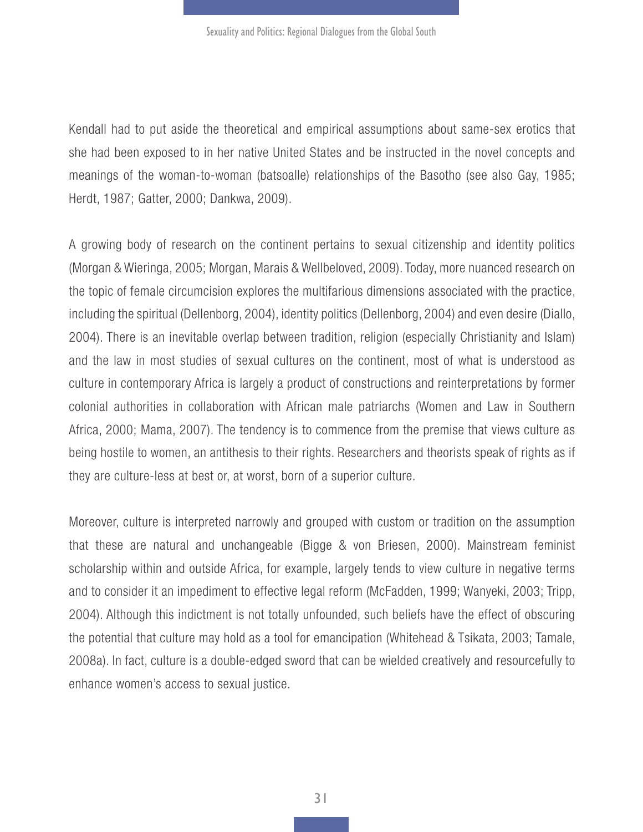Kendall had to put aside the theoretical and empirical assumptions about same-sex erotics that she had been exposed to in her native United States and be instructed in the novel concepts and meanings of the woman-to-woman (batsoalle) relationships of the Basotho (see also Gay, 1985; Herdt, 1987; Gatter, 2000; Dankwa, 2009).

A growing body of research on the continent pertains to sexual citizenship and identity politics (Morgan & Wieringa, 2005; Morgan, Marais & Wellbeloved, 2009). Today, more nuanced research on the topic of female circumcision explores the multifarious dimensions associated with the practice, including the spiritual (Dellenborg, 2004), identity politics (Dellenborg, 2004) and even desire (Diallo, 2004). There is an inevitable overlap between tradition, religion (especially Christianity and Islam) and the law in most studies of sexual cultures on the continent, most of what is understood as culture in contemporary Africa is largely a product of constructions and reinterpretations by former colonial authorities in collaboration with African male patriarchs (Women and Law in Southern Africa, 2000; Mama, 2007). The tendency is to commence from the premise that views culture as being hostile to women, an antithesis to their rights. Researchers and theorists speak of rights as if they are culture-less at best or, at worst, born of a superior culture.

Moreover, culture is interpreted narrowly and grouped with custom or tradition on the assumption that these are natural and unchangeable (Bigge & von Briesen, 2000). Mainstream feminist scholarship within and outside Africa, for example, largely tends to view culture in negative terms and to consider it an impediment to effective legal reform (McFadden, 1999; Wanyeki, 2003; Tripp, 2004). Although this indictment is not totally unfounded, such beliefs have the effect of obscuring the potential that culture may hold as a tool for emancipation (Whitehead & Tsikata, 2003; Tamale, 2008a). In fact, culture is a double-edged sword that can be wielded creatively and resourcefully to enhance women's access to sexual justice.

31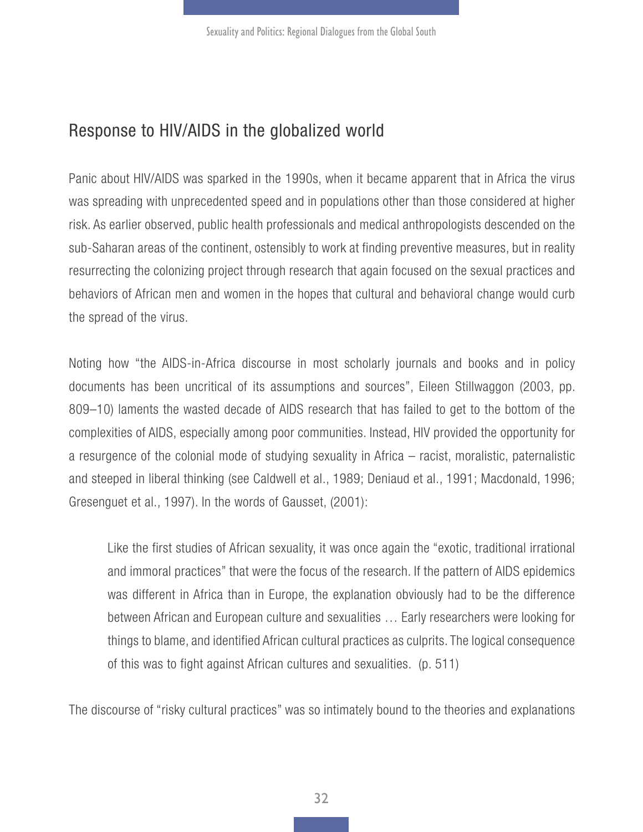## Response to HIV/AIDS in the globalized world

Panic about HIV/AIDS was sparked in the 1990s, when it became apparent that in Africa the virus was spreading with unprecedented speed and in populations other than those considered at higher risk. As earlier observed, public health professionals and medical anthropologists descended on the sub-Saharan areas of the continent, ostensibly to work at finding preventive measures, but in reality resurrecting the colonizing project through research that again focused on the sexual practices and behaviors of African men and women in the hopes that cultural and behavioral change would curb the spread of the virus.

Noting how "the AIDS-in-Africa discourse in most scholarly journals and books and in policy documents has been uncritical of its assumptions and sources", Eileen Stillwaggon (2003, pp. 809–10) laments the wasted decade of AIDS research that has failed to get to the bottom of the complexities of AIDS, especially among poor communities. Instead, HIV provided the opportunity for a resurgence of the colonial mode of studying sexuality in Africa – racist, moralistic, paternalistic and steeped in liberal thinking (see Caldwell et al., 1989; Deniaud et al., 1991; Macdonald, 1996; Gresenguet et al., 1997). In the words of Gausset, (2001):

Like the first studies of African sexuality, it was once again the "exotic, traditional irrational and immoral practices" that were the focus of the research. If the pattern of AIDS epidemics was different in Africa than in Europe, the explanation obviously had to be the difference between African and European culture and sexualities … Early researchers were looking for things to blame, and identified African cultural practices as culprits. The logical consequence of this was to fight against African cultures and sexualities. (p. 511)

The discourse of "risky cultural practices" was so intimately bound to the theories and explanations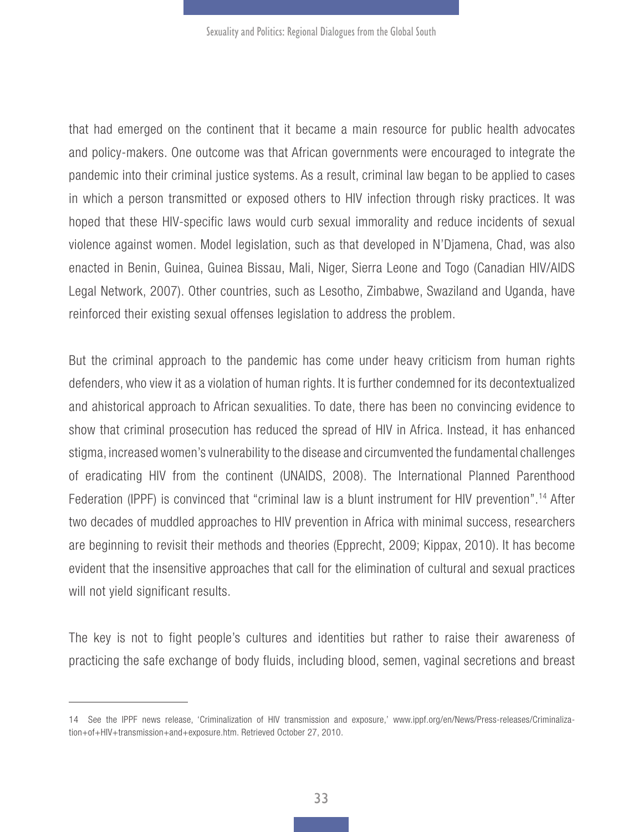that had emerged on the continent that it became a main resource for public health advocates and policy-makers. One outcome was that African governments were encouraged to integrate the pandemic into their criminal justice systems. As a result, criminal law began to be applied to cases in which a person transmitted or exposed others to HIV infection through risky practices. It was hoped that these HIV-specific laws would curb sexual immorality and reduce incidents of sexual violence against women. Model legislation, such as that developed in N'Djamena, Chad, was also enacted in Benin, Guinea, Guinea Bissau, Mali, Niger, Sierra Leone and Togo (Canadian HIV/AIDS Legal Network, 2007). Other countries, such as Lesotho, Zimbabwe, Swaziland and Uganda, have reinforced their existing sexual offenses legislation to address the problem.

But the criminal approach to the pandemic has come under heavy criticism from human rights defenders, who view it as a violation of human rights. It is further condemned for its decontextualized and ahistorical approach to African sexualities. To date, there has been no convincing evidence to show that criminal prosecution has reduced the spread of HIV in Africa. Instead, it has enhanced stigma, increased women's vulnerability to the disease and circumvented the fundamental challenges of eradicating HIV from the continent (UNAIDS, 2008). The International Planned Parenthood Federation (IPPF) is convinced that "criminal law is a blunt instrument for HIV prevention". 14 After two decades of muddled approaches to HIV prevention in Africa with minimal success, researchers are beginning to revisit their methods and theories (Epprecht, 2009; Kippax, 2010). It has become evident that the insensitive approaches that call for the elimination of cultural and sexual practices will not yield significant results.

The key is not to fight people's cultures and identities but rather to raise their awareness of practicing the safe exchange of body fluids, including blood, semen, vaginal secretions and breast

<sup>14</sup> See the IPPF news release, 'Criminalization of HIV transmission and exposure,' www.ippf.org/en/News/Press-releases/Criminalization+of+HIV+transmission+and+exposure.htm. Retrieved October 27, 2010.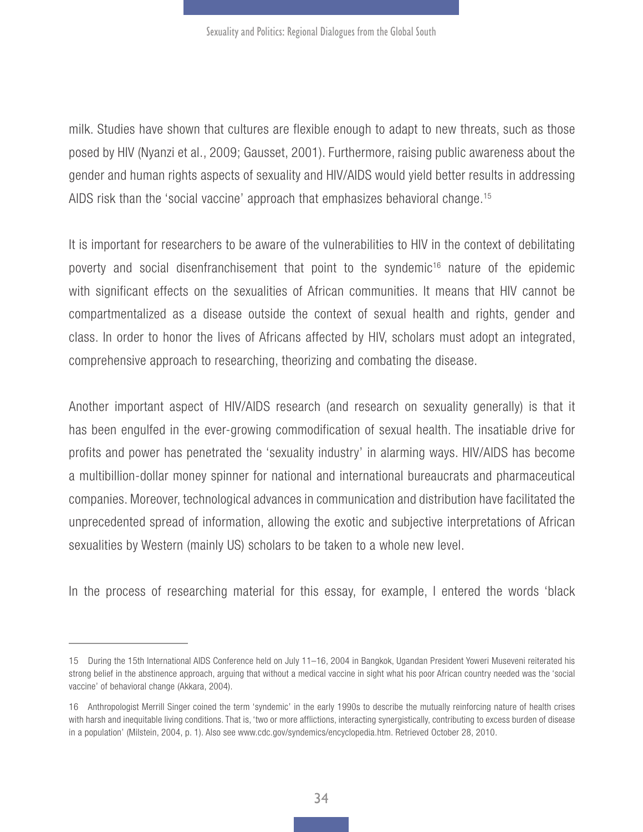milk. Studies have shown that cultures are flexible enough to adapt to new threats, such as those posed by HIV (Nyanzi et al., 2009; Gausset, 2001). Furthermore, raising public awareness about the gender and human rights aspects of sexuality and HIV/AIDS would yield better results in addressing AIDS risk than the 'social vaccine' approach that emphasizes behavioral change.<sup>15</sup>

It is important for researchers to be aware of the vulnerabilities to HIV in the context of debilitating poverty and social disenfranchisement that point to the syndemic<sup>16</sup> nature of the epidemic with significant effects on the sexualities of African communities. It means that HIV cannot be compartmentalized as a disease outside the context of sexual health and rights, gender and class. In order to honor the lives of Africans affected by HIV, scholars must adopt an integrated, comprehensive approach to researching, theorizing and combating the disease.

Another important aspect of HIV/AIDS research (and research on sexuality generally) is that it has been engulfed in the ever-growing commodification of sexual health. The insatiable drive for profits and power has penetrated the 'sexuality industry' in alarming ways. HIV/AIDS has become a multibillion-dollar money spinner for national and international bureaucrats and pharmaceutical companies. Moreover, technological advances in communication and distribution have facilitated the unprecedented spread of information, allowing the exotic and subjective interpretations of African sexualities by Western (mainly US) scholars to be taken to a whole new level.

In the process of researching material for this essay, for example, I entered the words 'black

<sup>15</sup> During the 15th International AIDS Conference held on July 11–16, 2004 in Bangkok, Ugandan President Yoweri Museveni reiterated his strong belief in the abstinence approach, arguing that without a medical vaccine in sight what his poor African country needed was the 'social vaccine' of behavioral change (Akkara, 2004).

<sup>16</sup> Anthropologist Merrill Singer coined the term 'syndemic' in the early 1990s to describe the mutually reinforcing nature of health crises with harsh and inequitable living conditions. That is, 'two or more afflictions, interacting synergistically, contributing to excess burden of disease in a population' (Milstein, 2004, p. 1). Also see www.cdc.gov/syndemics/encyclopedia.htm. Retrieved October 28, 2010.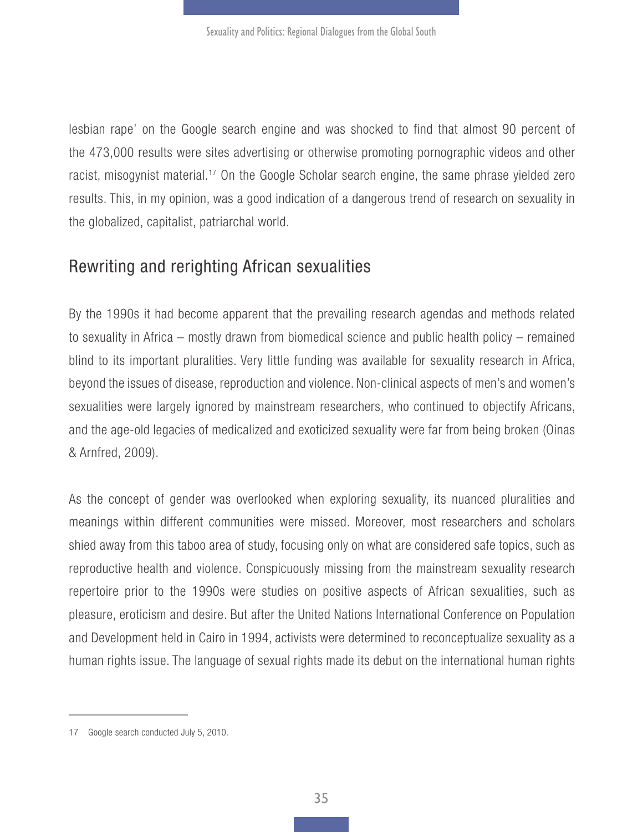lesbian rape' on the Google search engine and was shocked to find that almost 90 percent of the 473,000 results were sites advertising or otherwise promoting pornographic videos and other racist, misogynist material.<sup>17</sup> On the Google Scholar search engine, the same phrase yielded zero results. This, in my opinion, was a good indication of a dangerous trend of research on sexuality in the globalized, capitalist, patriarchal world.

## Rewriting and rerighting African sexualities

By the 1990s it had become apparent that the prevailing research agendas and methods related to sexuality in Africa – mostly drawn from biomedical science and public health policy – remained blind to its important pluralities. Very little funding was available for sexuality research in Africa, beyond the issues of disease, reproduction and violence. Non-clinical aspects of men's and women's sexualities were largely ignored by mainstream researchers, who continued to objectify Africans, and the age-old legacies of medicalized and exoticized sexuality were far from being broken (Oinas & Arnfred, 2009).

As the concept of gender was overlooked when exploring sexuality, its nuanced pluralities and meanings within different communities were missed. Moreover, most researchers and scholars shied away from this taboo area of study, focusing only on what are considered safe topics, such as reproductive health and violence. Conspicuously missing from the mainstream sexuality research repertoire prior to the 1990s were studies on positive aspects of African sexualities, such as pleasure, eroticism and desire. But after the United Nations International Conference on Population and Development held in Cairo in 1994, activists were determined to reconceptualize sexuality as a human rights issue. The language of sexual rights made its debut on the international human rights

<sup>17</sup> Google search conducted July 5, 2010.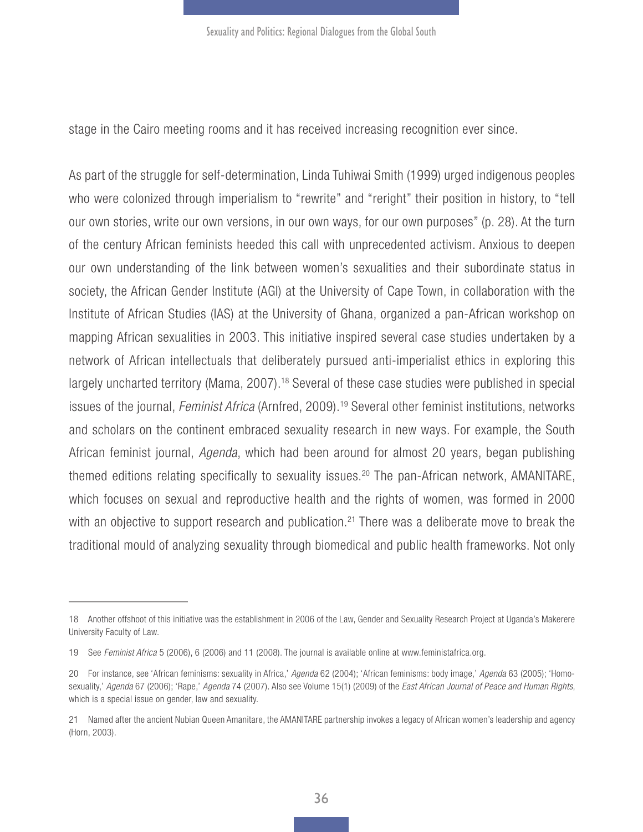stage in the Cairo meeting rooms and it has received increasing recognition ever since.

As part of the struggle for self-determination, Linda Tuhiwai Smith (1999) urged indigenous peoples who were colonized through imperialism to "rewrite" and "reright" their position in history, to "tell our own stories, write our own versions, in our own ways, for our own purposes" (p. 28). At the turn of the century African feminists heeded this call with unprecedented activism. Anxious to deepen our own understanding of the link between women's sexualities and their subordinate status in society, the African Gender Institute (AGI) at the University of Cape Town, in collaboration with the Institute of African Studies (IAS) at the University of Ghana, organized a pan-African workshop on mapping African sexualities in 2003. This initiative inspired several case studies undertaken by a network of African intellectuals that deliberately pursued anti-imperialist ethics in exploring this largely uncharted territory (Mama, 2007).<sup>18</sup> Several of these case studies were published in special issues of the journal, *Feminist Africa* (Arnfred, 2009).<sup>19</sup> Several other feminist institutions, networks and scholars on the continent embraced sexuality research in new ways. For example, the South African feminist journal, *Agenda*, which had been around for almost 20 years, began publishing themed editions relating specifically to sexuality issues.<sup>20</sup> The pan-African network, AMANITARE, which focuses on sexual and reproductive health and the rights of women, was formed in 2000 with an objective to support research and publication.<sup>21</sup> There was a deliberate move to break the traditional mould of analyzing sexuality through biomedical and public health frameworks. Not only

<sup>18</sup> Another offshoot of this initiative was the establishment in 2006 of the Law, Gender and Sexuality Research Project at Uganda's Makerere University Faculty of Law.

<sup>19</sup> See *Feminist Africa* 5 (2006), 6 (2006) and 11 (2008). The journal is available online at www.feministafrica.org.

<sup>20</sup> For instance, see 'African feminisms: sexuality in Africa,' *Agenda* 62 (2004); 'African feminisms: body image,' *Agenda* 63 (2005); 'Homosexuality,' *Agenda* 67 (2006); 'Rape,' *Agenda* 74 (2007). Also see Volume 15(1) (2009) of the *East African Journal of Peace and Human Rights*, which is a special issue on gender, law and sexuality.

<sup>21</sup> Named after the ancient Nubian Queen Amanitare, the AMANITARE partnership invokes a legacy of African women's leadership and agency (Horn, 2003).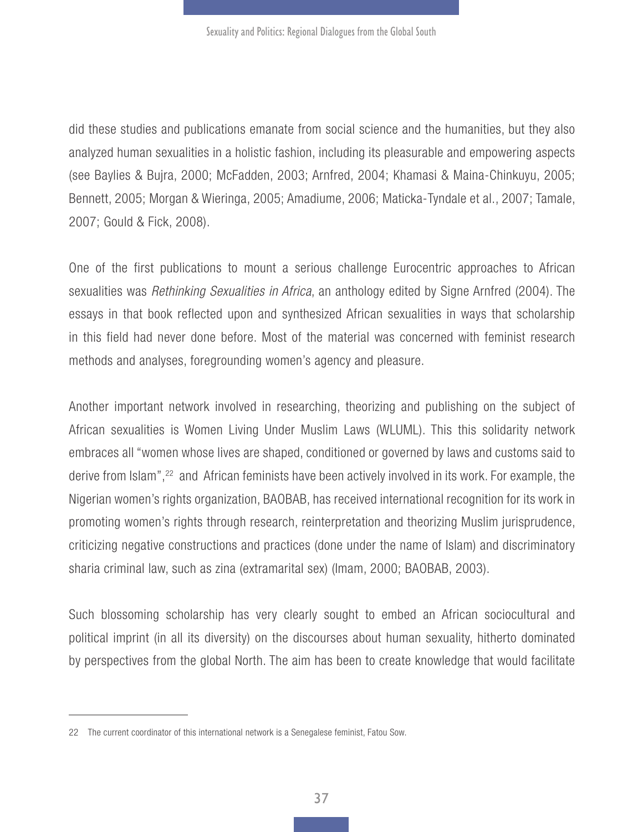did these studies and publications emanate from social science and the humanities, but they also analyzed human sexualities in a holistic fashion, including its pleasurable and empowering aspects (see Baylies & Bujra, 2000; McFadden, 2003; Arnfred, 2004; Khamasi & Maina-Chinkuyu, 2005; Bennett, 2005; Morgan & Wieringa, 2005; Amadiume, 2006; Maticka-Tyndale et al., 2007; Tamale, 2007; Gould & Fick, 2008).

One of the first publications to mount a serious challenge Eurocentric approaches to African sexualities was *Rethinking Sexualities in Africa*, an anthology edited by Signe Arnfred (2004). The essays in that book reflected upon and synthesized African sexualities in ways that scholarship in this field had never done before. Most of the material was concerned with feminist research methods and analyses, foregrounding women's agency and pleasure.

Another important network involved in researching, theorizing and publishing on the subject of African sexualities is Women Living Under Muslim Laws (WLUML). This this solidarity network embraces all "women whose lives are shaped, conditioned or governed by laws and customs said to derive from Islam",<sup>22</sup> and African feminists have been actively involved in its work. For example, the Nigerian women's rights organization, BAOBAB, has received international recognition for its work in promoting women's rights through research, reinterpretation and theorizing Muslim jurisprudence, criticizing negative constructions and practices (done under the name of Islam) and discriminatory sharia criminal law, such as zina (extramarital sex) (Imam, 2000; BAOBAB, 2003).

Such blossoming scholarship has very clearly sought to embed an African sociocultural and political imprint (in all its diversity) on the discourses about human sexuality, hitherto dominated by perspectives from the global North. The aim has been to create knowledge that would facilitate

<sup>22</sup> The current coordinator of this international network is a Senegalese feminist, Fatou Sow.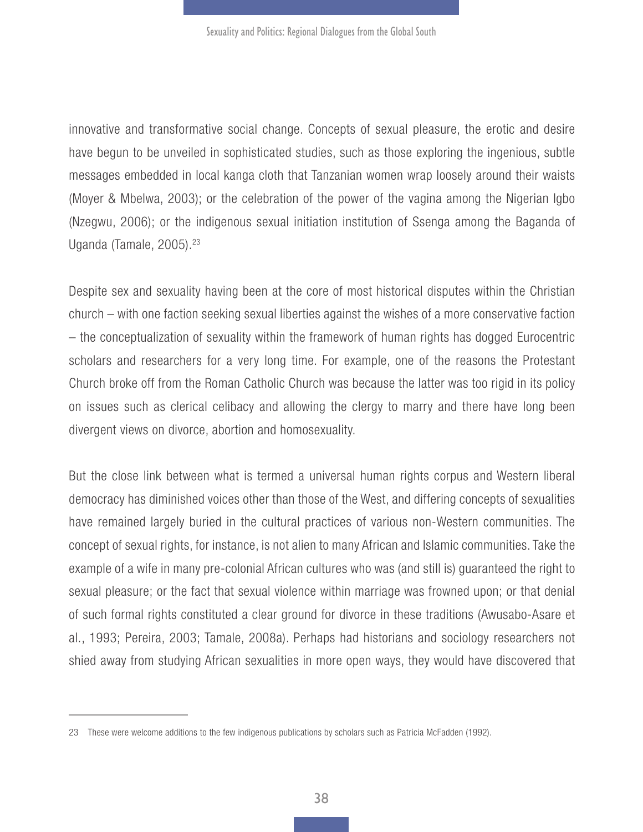innovative and transformative social change. Concepts of sexual pleasure, the erotic and desire have begun to be unveiled in sophisticated studies, such as those exploring the ingenious, subtle messages embedded in local kanga cloth that Tanzanian women wrap loosely around their waists (Moyer & Mbelwa, 2003); or the celebration of the power of the vagina among the Nigerian Igbo (Nzegwu, 2006); or the indigenous sexual initiation institution of Ssenga among the Baganda of Uganda (Tamale, 2005). $23$ 

Despite sex and sexuality having been at the core of most historical disputes within the Christian church – with one faction seeking sexual liberties against the wishes of a more conservative faction – the conceptualization of sexuality within the framework of human rights has dogged Eurocentric scholars and researchers for a very long time. For example, one of the reasons the Protestant Church broke off from the Roman Catholic Church was because the latter was too rigid in its policy on issues such as clerical celibacy and allowing the clergy to marry and there have long been divergent views on divorce, abortion and homosexuality.

But the close link between what is termed a universal human rights corpus and Western liberal democracy has diminished voices other than those of the West, and differing concepts of sexualities have remained largely buried in the cultural practices of various non-Western communities. The concept of sexual rights, for instance, is not alien to many African and Islamic communities. Take the example of a wife in many pre-colonial African cultures who was (and still is) guaranteed the right to sexual pleasure; or the fact that sexual violence within marriage was frowned upon; or that denial of such formal rights constituted a clear ground for divorce in these traditions (Awusabo-Asare et al., 1993; Pereira, 2003; Tamale, 2008a). Perhaps had historians and sociology researchers not shied away from studying African sexualities in more open ways, they would have discovered that

<sup>23</sup> These were welcome additions to the few indigenous publications by scholars such as Patricia McFadden (1992).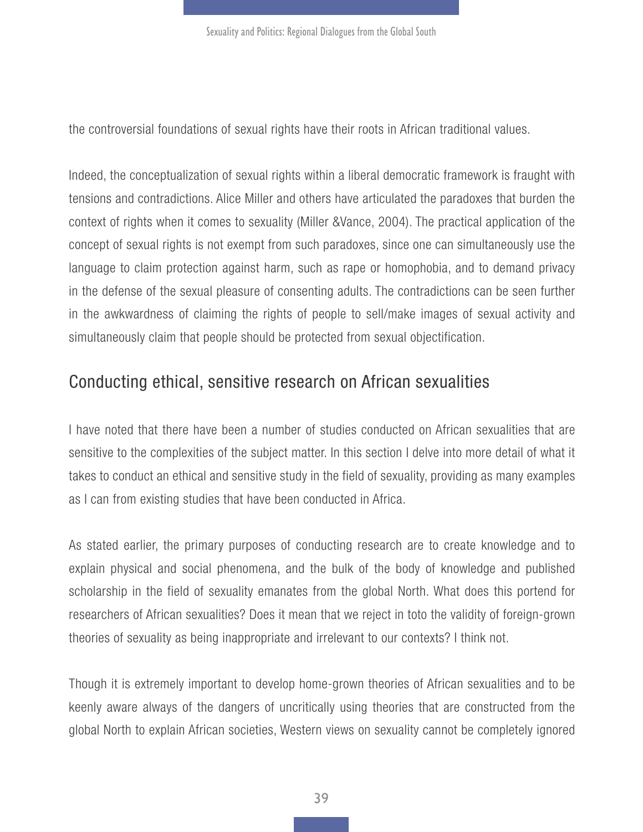the controversial foundations of sexual rights have their roots in African traditional values.

Indeed, the conceptualization of sexual rights within a liberal democratic framework is fraught with tensions and contradictions. Alice Miller and others have articulated the paradoxes that burden the context of rights when it comes to sexuality (Miller &Vance, 2004). The practical application of the concept of sexual rights is not exempt from such paradoxes, since one can simultaneously use the language to claim protection against harm, such as rape or homophobia, and to demand privacy in the defense of the sexual pleasure of consenting adults. The contradictions can be seen further in the awkwardness of claiming the rights of people to sell/make images of sexual activity and simultaneously claim that people should be protected from sexual objectification.

## Conducting ethical, sensitive research on African sexualities

I have noted that there have been a number of studies conducted on African sexualities that are sensitive to the complexities of the subject matter. In this section I delve into more detail of what it takes to conduct an ethical and sensitive study in the field of sexuality, providing as many examples as I can from existing studies that have been conducted in Africa.

As stated earlier, the primary purposes of conducting research are to create knowledge and to explain physical and social phenomena, and the bulk of the body of knowledge and published scholarship in the field of sexuality emanates from the global North. What does this portend for researchers of African sexualities? Does it mean that we reject in toto the validity of foreign-grown theories of sexuality as being inappropriate and irrelevant to our contexts? I think not.

Though it is extremely important to develop home-grown theories of African sexualities and to be keenly aware always of the dangers of uncritically using theories that are constructed from the global North to explain African societies, Western views on sexuality cannot be completely ignored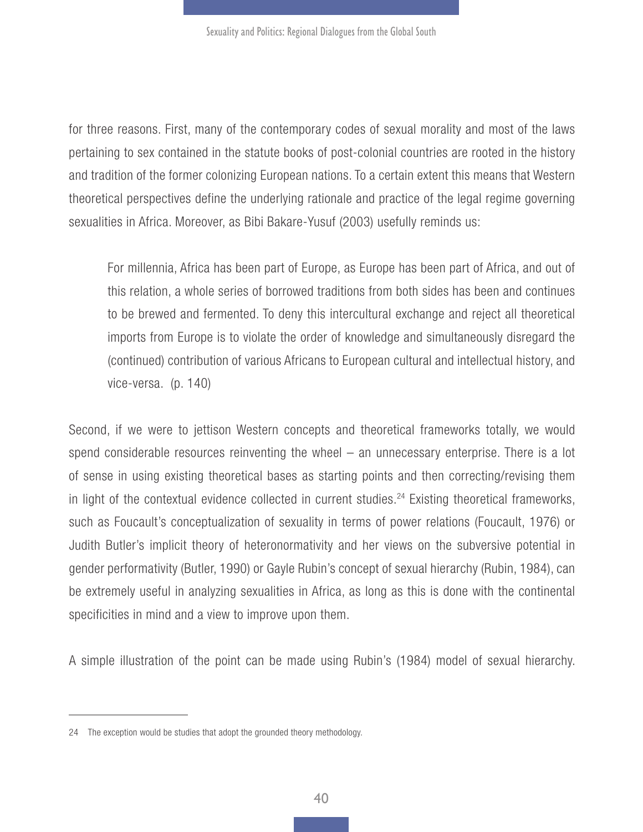for three reasons. First, many of the contemporary codes of sexual morality and most of the laws pertaining to sex contained in the statute books of post-colonial countries are rooted in the history and tradition of the former colonizing European nations. To a certain extent this means that Western theoretical perspectives define the underlying rationale and practice of the legal regime governing sexualities in Africa. Moreover, as Bibi Bakare-Yusuf (2003) usefully reminds us:

For millennia, Africa has been part of Europe, as Europe has been part of Africa, and out of this relation, a whole series of borrowed traditions from both sides has been and continues to be brewed and fermented. To deny this intercultural exchange and reject all theoretical imports from Europe is to violate the order of knowledge and simultaneously disregard the (continued) contribution of various Africans to European cultural and intellectual history, and vice-versa. (p. 140)

Second, if we were to jettison Western concepts and theoretical frameworks totally, we would spend considerable resources reinventing the wheel – an unnecessary enterprise. There is a lot of sense in using existing theoretical bases as starting points and then correcting/revising them in light of the contextual evidence collected in current studies.<sup>24</sup> Existing theoretical frameworks, such as Foucault's conceptualization of sexuality in terms of power relations (Foucault, 1976) or Judith Butler's implicit theory of heteronormativity and her views on the subversive potential in gender performativity (Butler, 1990) or Gayle Rubin's concept of sexual hierarchy (Rubin, 1984), can be extremely useful in analyzing sexualities in Africa, as long as this is done with the continental specificities in mind and a view to improve upon them.

A simple illustration of the point can be made using Rubin's (1984) model of sexual hierarchy.

<sup>24</sup> The exception would be studies that adopt the grounded theory methodology.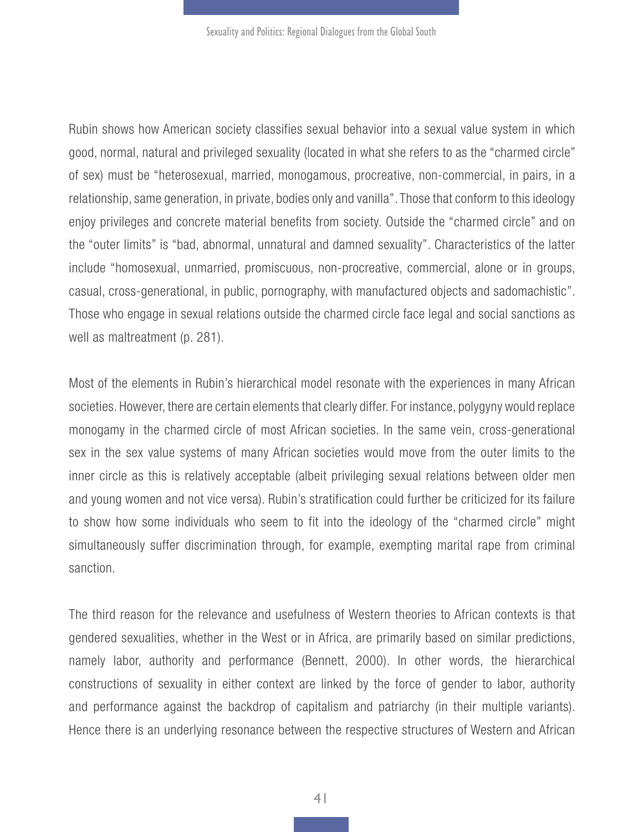Rubin shows how American society classifies sexual behavior into a sexual value system in which good, normal, natural and privileged sexuality (located in what she refers to as the "charmed circle" of sex) must be "heterosexual, married, monogamous, procreative, non-commercial, in pairs, in a relationship, same generation, in private, bodies only and vanilla". Those that conform to this ideology enjoy privileges and concrete material benefits from society. Outside the "charmed circle" and on the "outer limits" is "bad, abnormal, unnatural and damned sexuality". Characteristics of the latter include "homosexual, unmarried, promiscuous, non-procreative, commercial, alone or in groups, casual, cross-generational, in public, pornography, with manufactured objects and sadomachistic". Those who engage in sexual relations outside the charmed circle face legal and social sanctions as well as maltreatment (p. 281).

Most of the elements in Rubin's hierarchical model resonate with the experiences in many African societies. However, there are certain elements that clearly differ. For instance, polygyny would replace monogamy in the charmed circle of most African societies. In the same vein, cross-generational sex in the sex value systems of many African societies would move from the outer limits to the inner circle as this is relatively acceptable (albeit privileging sexual relations between older men and young women and not vice versa). Rubin's stratification could further be criticized for its failure to show how some individuals who seem to fit into the ideology of the "charmed circle" might simultaneously suffer discrimination through, for example, exempting marital rape from criminal sanction.

The third reason for the relevance and usefulness of Western theories to African contexts is that gendered sexualities, whether in the West or in Africa, are primarily based on similar predictions, namely labor, authority and performance (Bennett, 2000). In other words, the hierarchical constructions of sexuality in either context are linked by the force of gender to labor, authority and performance against the backdrop of capitalism and patriarchy (in their multiple variants). Hence there is an underlying resonance between the respective structures of Western and African

41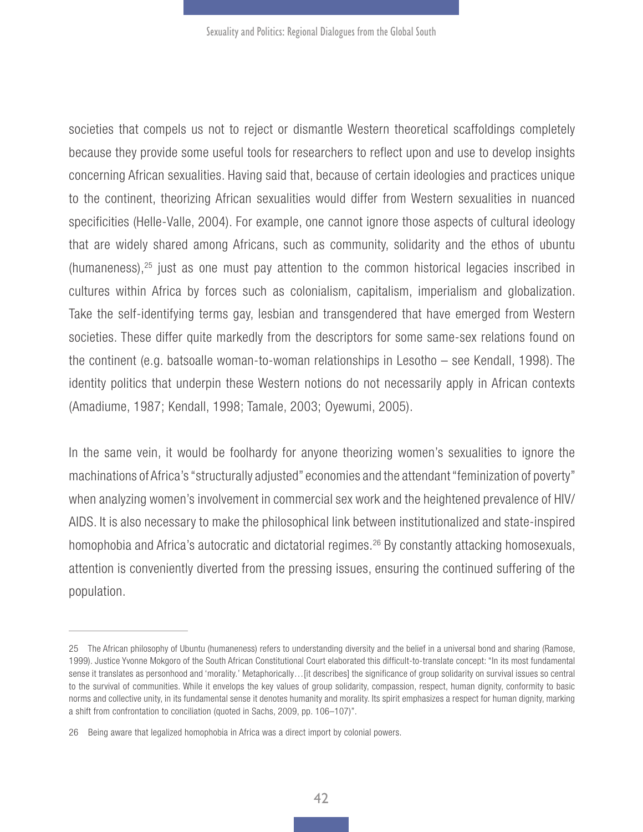societies that compels us not to reject or dismantle Western theoretical scaffoldings completely because they provide some useful tools for researchers to reflect upon and use to develop insights concerning African sexualities. Having said that, because of certain ideologies and practices unique to the continent, theorizing African sexualities would differ from Western sexualities in nuanced specificities (Helle-Valle, 2004). For example, one cannot ignore those aspects of cultural ideology that are widely shared among Africans, such as community, solidarity and the ethos of ubuntu (humaneness), $25$  just as one must pay attention to the common historical legacies inscribed in cultures within Africa by forces such as colonialism, capitalism, imperialism and globalization. Take the self-identifying terms gay, lesbian and transgendered that have emerged from Western societies. These differ quite markedly from the descriptors for some same-sex relations found on the continent (e.g. batsoalle woman-to-woman relationships in Lesotho – see Kendall, 1998). The identity politics that underpin these Western notions do not necessarily apply in African contexts (Amadiume, 1987; Kendall, 1998; Tamale, 2003; Oyewumi, 2005).

In the same vein, it would be foolhardy for anyone theorizing women's sexualities to ignore the machinations of Africa's "structurally adjusted" economies and the attendant "feminization of poverty" when analyzing women's involvement in commercial sex work and the heightened prevalence of HIV/ AIDS. It is also necessary to make the philosophical link between institutionalized and state-inspired homophobia and Africa's autocratic and dictatorial regimes.<sup>26</sup> By constantly attacking homosexuals, attention is conveniently diverted from the pressing issues, ensuring the continued suffering of the population.

<sup>25</sup> The African philosophy of Ubuntu (humaneness) refers to understanding diversity and the belief in a universal bond and sharing (Ramose, 1999). Justice Yvonne Mokgoro of the South African Constitutional Court elaborated this difficult-to-translate concept: "In its most fundamental sense it translates as personhood and 'morality.' Metaphorically... [it describes] the significance of group solidarity on survival issues so central to the survival of communities. While it envelops the key values of group solidarity, compassion, respect, human dignity, conformity to basic norms and collective unity, in its fundamental sense it denotes humanity and morality. Its spirit emphasizes a respect for human dignity, marking a shift from confrontation to conciliation (quoted in Sachs, 2009, pp. 106–107)".

<sup>26</sup> Being aware that legalized homophobia in Africa was a direct import by colonial powers.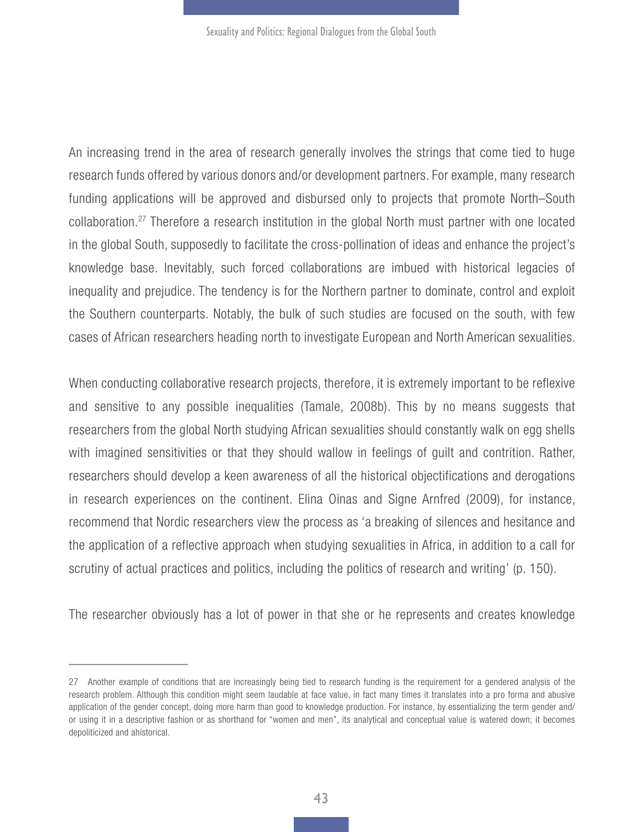An increasing trend in the area of research generally involves the strings that come tied to huge research funds offered by various donors and/or development partners. For example, many research funding applications will be approved and disbursed only to projects that promote North–South collaboration.27 Therefore a research institution in the global North must partner with one located in the global South, supposedly to facilitate the cross-pollination of ideas and enhance the project's knowledge base. Inevitably, such forced collaborations are imbued with historical legacies of inequality and prejudice. The tendency is for the Northern partner to dominate, control and exploit the Southern counterparts. Notably, the bulk of such studies are focused on the south, with few cases of African researchers heading north to investigate European and North American sexualities.

When conducting collaborative research projects, therefore, it is extremely important to be reflexive and sensitive to any possible inequalities (Tamale, 2008b). This by no means suggests that researchers from the global North studying African sexualities should constantly walk on egg shells with imagined sensitivities or that they should wallow in feelings of guilt and contrition. Rather, researchers should develop a keen awareness of all the historical objectifications and derogations in research experiences on the continent. Elina Oinas and Signe Arnfred (2009), for instance, recommend that Nordic researchers view the process as 'a breaking of silences and hesitance and the application of a reflective approach when studying sexualities in Africa, in addition to a call for scrutiny of actual practices and politics, including the politics of research and writing' (p. 150).

The researcher obviously has a lot of power in that she or he represents and creates knowledge

<sup>27</sup> Another example of conditions that are increasingly being tied to research funding is the requirement for a gendered analysis of the research problem. Although this condition might seem laudable at face value, in fact many times it translates into a pro forma and abusive application of the gender concept, doing more harm than good to knowledge production. For instance, by essentializing the term gender and/ or using it in a descriptive fashion or as shorthand for "women and men", its analytical and conceptual value is watered down; it becomes depoliticized and ahistorical.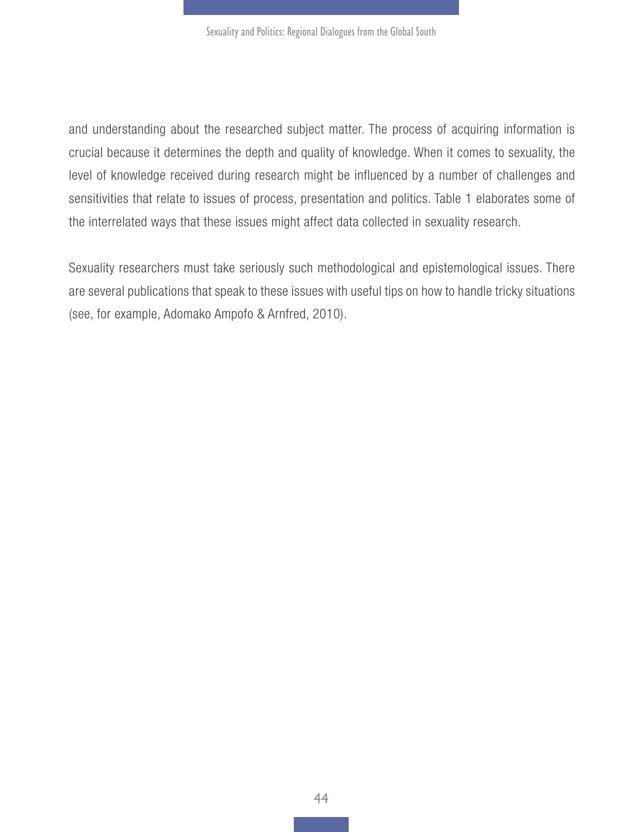and understanding about the researched subject matter. The process of acquiring information is crucial because it determines the depth and quality of knowledge. When it comes to sexuality, the level of knowledge received during research might be influenced by a number of challenges and sensitivities that relate to issues of process, presentation and politics. Table 1 elaborates some of the interrelated ways that these issues might affect data collected in sexuality research.

Sexuality researchers must take seriously such methodological and epistemological issues. There are several publications that speak to these issues with useful tips on how to handle tricky situations (see, for example, Adomako Ampofo & Arnfred, 2010).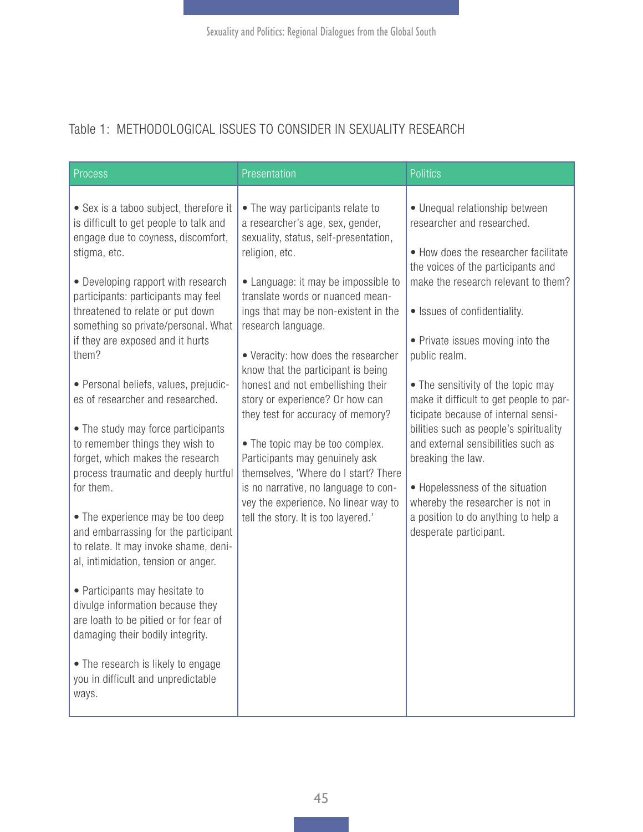### Table 1: METHODOLOGICAL ISSUES TO CONSIDER IN SEXUALITY RESEARCH

| <b>Process</b>                                                                                                                                                                                                                                                                                                                                                                                                                                                                                                                                                                                                                                                                                                                                                                                                                                                                                                                                                                                 | Presentation                                                                                                                                                                                                                                                                                                                                                                                                                                                                                                                                                                                                                                                                                           | <b>Politics</b>                                                                                                                                                                                                                                                                                                                                                                                                                                                                                                                                                                                                                             |
|------------------------------------------------------------------------------------------------------------------------------------------------------------------------------------------------------------------------------------------------------------------------------------------------------------------------------------------------------------------------------------------------------------------------------------------------------------------------------------------------------------------------------------------------------------------------------------------------------------------------------------------------------------------------------------------------------------------------------------------------------------------------------------------------------------------------------------------------------------------------------------------------------------------------------------------------------------------------------------------------|--------------------------------------------------------------------------------------------------------------------------------------------------------------------------------------------------------------------------------------------------------------------------------------------------------------------------------------------------------------------------------------------------------------------------------------------------------------------------------------------------------------------------------------------------------------------------------------------------------------------------------------------------------------------------------------------------------|---------------------------------------------------------------------------------------------------------------------------------------------------------------------------------------------------------------------------------------------------------------------------------------------------------------------------------------------------------------------------------------------------------------------------------------------------------------------------------------------------------------------------------------------------------------------------------------------------------------------------------------------|
| • Sex is a taboo subject, therefore it<br>is difficult to get people to talk and<br>engage due to coyness, discomfort,<br>stigma, etc.<br>• Developing rapport with research<br>participants: participants may feel<br>threatened to relate or put down<br>something so private/personal. What<br>if they are exposed and it hurts<br>them?<br>· Personal beliefs, values, prejudic-<br>es of researcher and researched.<br>• The study may force participants<br>to remember things they wish to<br>forget, which makes the research<br>process traumatic and deeply hurtful<br>for them.<br>• The experience may be too deep<br>and embarrassing for the participant<br>to relate. It may invoke shame, deni-<br>al, intimidation, tension or anger.<br>• Participants may hesitate to<br>divulge information because they<br>are loath to be pitied or for fear of<br>damaging their bodily integrity.<br>• The research is likely to engage<br>you in difficult and unpredictable<br>ways. | • The way participants relate to<br>a researcher's age, sex, gender,<br>sexuality, status, self-presentation,<br>religion, etc.<br>• Language: it may be impossible to<br>translate words or nuanced mean-<br>ings that may be non-existent in the<br>research language.<br>• Veracity: how does the researcher<br>know that the participant is being<br>honest and not embellishing their<br>story or experience? Or how can<br>they test for accuracy of memory?<br>• The topic may be too complex.<br>Participants may genuinely ask<br>themselves, 'Where do I start? There<br>is no narrative, no language to con-<br>vey the experience. No linear way to<br>tell the story. It is too layered.' | • Unequal relationship between<br>researcher and researched.<br>• How does the researcher facilitate<br>the voices of the participants and<br>make the research relevant to them?<br>· Issues of confidentiality.<br>• Private issues moving into the<br>public realm.<br>• The sensitivity of the topic may<br>make it difficult to get people to par-<br>ticipate because of internal sensi-<br>bilities such as people's spirituality<br>and external sensibilities such as<br>breaking the law.<br>• Hopelessness of the situation<br>whereby the researcher is not in<br>a position to do anything to help a<br>desperate participant. |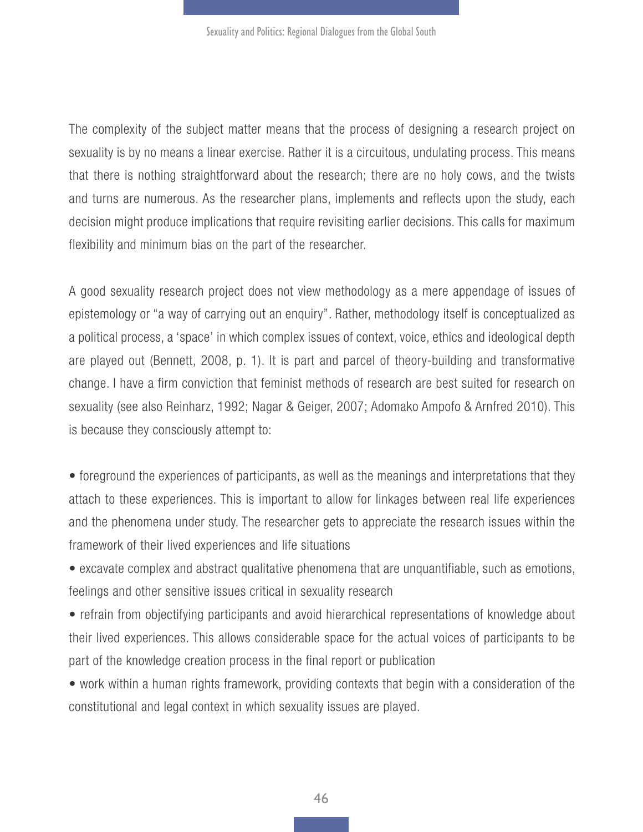The complexity of the subject matter means that the process of designing a research project on sexuality is by no means a linear exercise. Rather it is a circuitous, undulating process. This means that there is nothing straightforward about the research; there are no holy cows, and the twists and turns are numerous. As the researcher plans, implements and reflects upon the study, each decision might produce implications that require revisiting earlier decisions. This calls for maximum flexibility and minimum bias on the part of the researcher.

A good sexuality research project does not view methodology as a mere appendage of issues of epistemology or "a way of carrying out an enquiry". Rather, methodology itself is conceptualized as a political process, a 'space' in which complex issues of context, voice, ethics and ideological depth are played out (Bennett, 2008, p. 1). It is part and parcel of theory-building and transformative change. I have a firm conviction that feminist methods of research are best suited for research on sexuality (see also Reinharz, 1992; Nagar & Geiger, 2007; Adomako Ampofo & Arnfred 2010). This is because they consciously attempt to:

• foreground the experiences of participants, as well as the meanings and interpretations that they attach to these experiences. This is important to allow for linkages between real life experiences and the phenomena under study. The researcher gets to appreciate the research issues within the framework of their lived experiences and life situations

• excavate complex and abstract qualitative phenomena that are unquantifiable, such as emotions, feelings and other sensitive issues critical in sexuality research

• refrain from objectifying participants and avoid hierarchical representations of knowledge about their lived experiences. This allows considerable space for the actual voices of participants to be part of the knowledge creation process in the final report or publication

• work within a human rights framework, providing contexts that begin with a consideration of the constitutional and legal context in which sexuality issues are played.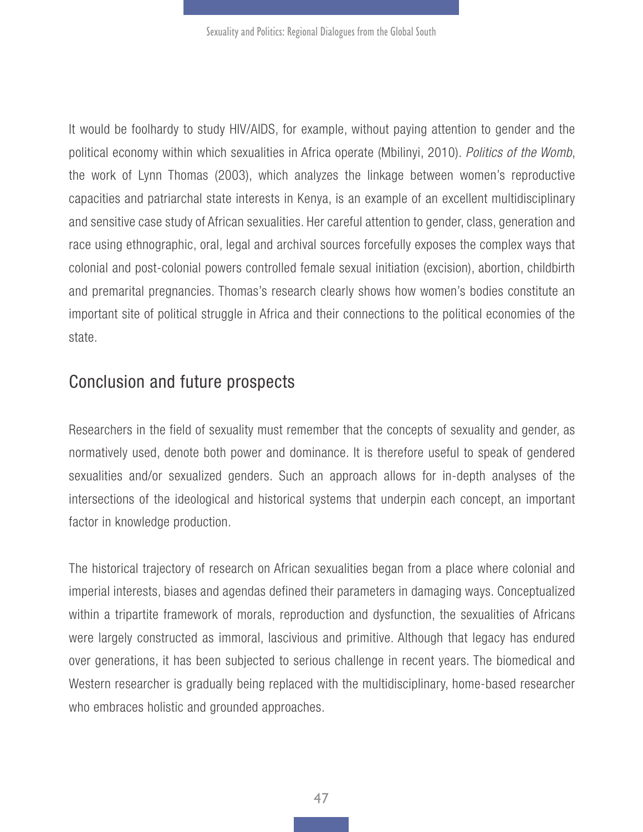It would be foolhardy to study HIV/AIDS, for example, without paying attention to gender and the political economy within which sexualities in Africa operate (Mbilinyi, 2010). *Politics of the Womb*, the work of Lynn Thomas (2003), which analyzes the linkage between women's reproductive capacities and patriarchal state interests in Kenya, is an example of an excellent multidisciplinary and sensitive case study of African sexualities. Her careful attention to gender, class, generation and race using ethnographic, oral, legal and archival sources forcefully exposes the complex ways that colonial and post-colonial powers controlled female sexual initiation (excision), abortion, childbirth and premarital pregnancies. Thomas's research clearly shows how women's bodies constitute an important site of political struggle in Africa and their connections to the political economies of the state.

## Conclusion and future prospects

Researchers in the field of sexuality must remember that the concepts of sexuality and gender, as normatively used, denote both power and dominance. It is therefore useful to speak of gendered sexualities and/or sexualized genders. Such an approach allows for in-depth analyses of the intersections of the ideological and historical systems that underpin each concept, an important factor in knowledge production.

The historical trajectory of research on African sexualities began from a place where colonial and imperial interests, biases and agendas defined their parameters in damaging ways. Conceptualized within a tripartite framework of morals, reproduction and dysfunction, the sexualities of Africans were largely constructed as immoral, lascivious and primitive. Although that legacy has endured over generations, it has been subjected to serious challenge in recent years. The biomedical and Western researcher is gradually being replaced with the multidisciplinary, home-based researcher who embraces holistic and grounded approaches.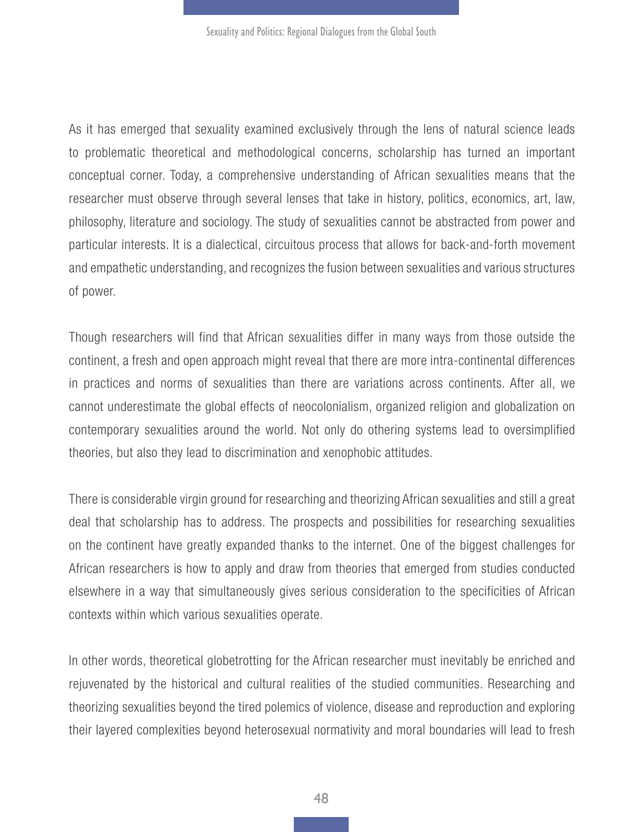As it has emerged that sexuality examined exclusively through the lens of natural science leads to problematic theoretical and methodological concerns, scholarship has turned an important conceptual corner. Today, a comprehensive understanding of African sexualities means that the researcher must observe through several lenses that take in history, politics, economics, art, law, philosophy, literature and sociology. The study of sexualities cannot be abstracted from power and particular interests. It is a dialectical, circuitous process that allows for back-and-forth movement and empathetic understanding, and recognizes the fusion between sexualities and various structures of power.

Though researchers will find that African sexualities differ in many ways from those outside the continent, a fresh and open approach might reveal that there are more intra-continental differences in practices and norms of sexualities than there are variations across continents. After all, we cannot underestimate the global effects of neocolonialism, organized religion and globalization on contemporary sexualities around the world. Not only do othering systems lead to oversimplified theories, but also they lead to discrimination and xenophobic attitudes.

There is considerable virgin ground for researching and theorizing African sexualities and still a great deal that scholarship has to address. The prospects and possibilities for researching sexualities on the continent have greatly expanded thanks to the internet. One of the biggest challenges for African researchers is how to apply and draw from theories that emerged from studies conducted elsewhere in a way that simultaneously gives serious consideration to the specificities of African contexts within which various sexualities operate.

In other words, theoretical globetrotting for the African researcher must inevitably be enriched and rejuvenated by the historical and cultural realities of the studied communities. Researching and theorizing sexualities beyond the tired polemics of violence, disease and reproduction and exploring their layered complexities beyond heterosexual normativity and moral boundaries will lead to fresh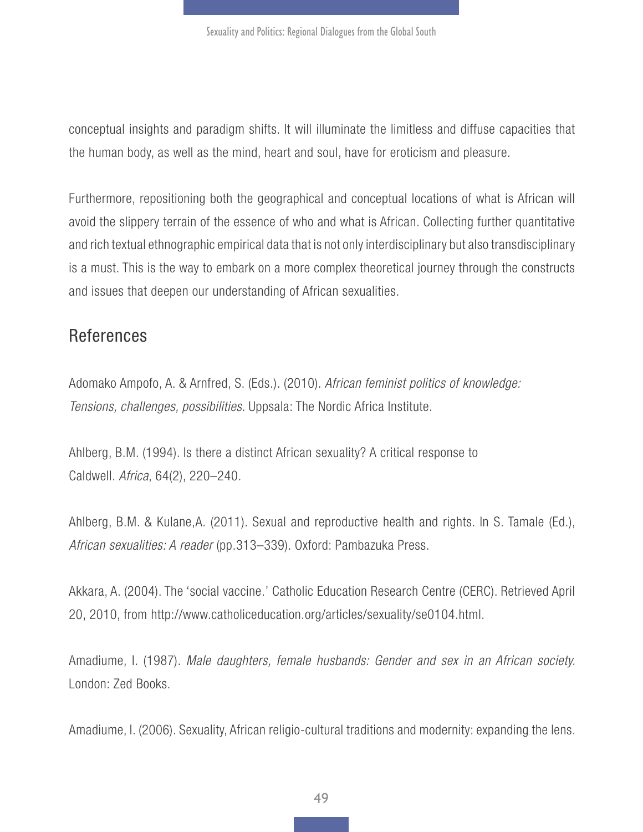conceptual insights and paradigm shifts. It will illuminate the limitless and diffuse capacities that the human body, as well as the mind, heart and soul, have for eroticism and pleasure.

Furthermore, repositioning both the geographical and conceptual locations of what is African will avoid the slippery terrain of the essence of who and what is African. Collecting further quantitative and rich textual ethnographic empirical data that is not only interdisciplinary but also transdisciplinary is a must. This is the way to embark on a more complex theoretical journey through the constructs and issues that deepen our understanding of African sexualities.

### References

Adomako Ampofo, A. & Arnfred, S. (Eds.). (2010). *African feminist politics of knowledge: Tensions, challenges, possibilities*. Uppsala: The Nordic Africa Institute.

Ahlberg, B.M. (1994). Is there a distinct African sexuality? A critical response to Caldwell. *Africa*, 64(2), 220–240.

Ahlberg, B.M. & Kulane,A. (2011). Sexual and reproductive health and rights. In S. Tamale (Ed.), *African sexualities: A reader* (pp.313–339). Oxford: Pambazuka Press.

Akkara, A. (2004). The 'social vaccine.' Catholic Education Research Centre (CERC). Retrieved April 20, 2010, from http://www.catholiceducation.org/articles/sexuality/se0104.html.

Amadiume, I. (1987). *Male daughters, female husbands: Gender and sex in an African society.*  London: Zed Books.

Amadiume, I. (2006). Sexuality, African religio-cultural traditions and modernity: expanding the lens.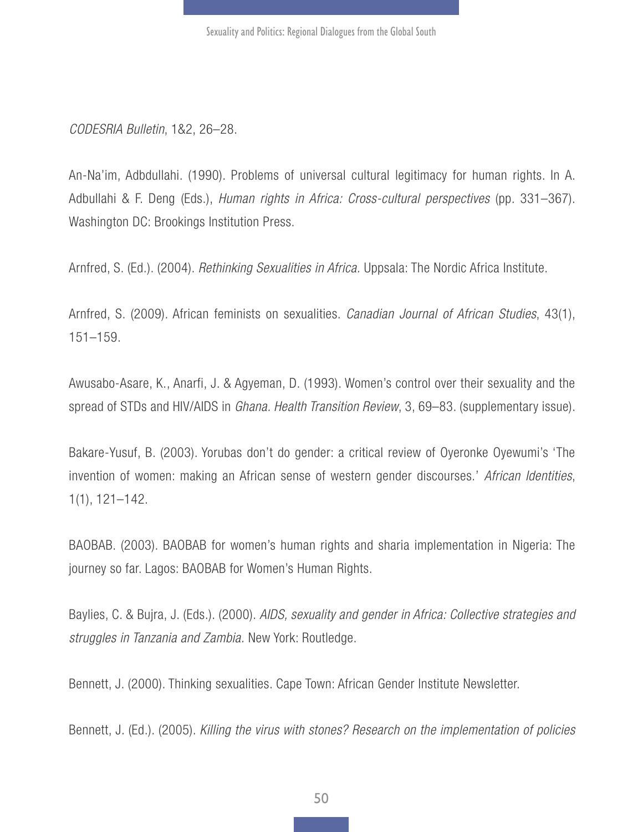*CODESRIA Bulletin*, 1&2, 26–28.

An-Na'im, Adbdullahi. (1990). Problems of universal cultural legitimacy for human rights. In A. Adbullahi & F. Deng (Eds.), *Human rights in Africa: Cross-cultural perspectives* (pp. 331–367). Washington DC: Brookings Institution Press.

Arnfred, S. (Ed.). (2004). *Rethinking Sexualities in Africa.* Uppsala: The Nordic Africa Institute.

Arnfred, S. (2009). African feminists on sexualities. *Canadian Journal of African Studies*, 43(1), 151–159.

Awusabo-Asare, K., Anarfi, J. & Agyeman, D. (1993). Women's control over their sexuality and the spread of STDs and HIV/AIDS in *Ghana. Health Transition Review*, 3, 69–83. (supplementary issue).

Bakare-Yusuf, B. (2003). Yorubas don't do gender: a critical review of Oyeronke Oyewumi's 'The invention of women: making an African sense of western gender discourses.' *African Identities*, 1(1), 121–142.

BAOBAB. (2003). BAOBAB for women's human rights and sharia implementation in Nigeria: The journey so far. Lagos: BAOBAB for Women's Human Rights.

Baylies, C. & Bujra, J. (Eds.). (2000). *AIDS, sexuality and gender in Africa: Collective strategies and struggles in Tanzania and Zambia.* New York: Routledge.

Bennett, J. (2000). Thinking sexualities. Cape Town: African Gender Institute Newsletter.

Bennett, J. (Ed.). (2005). *Killing the virus with stones? Research on the implementation of policies*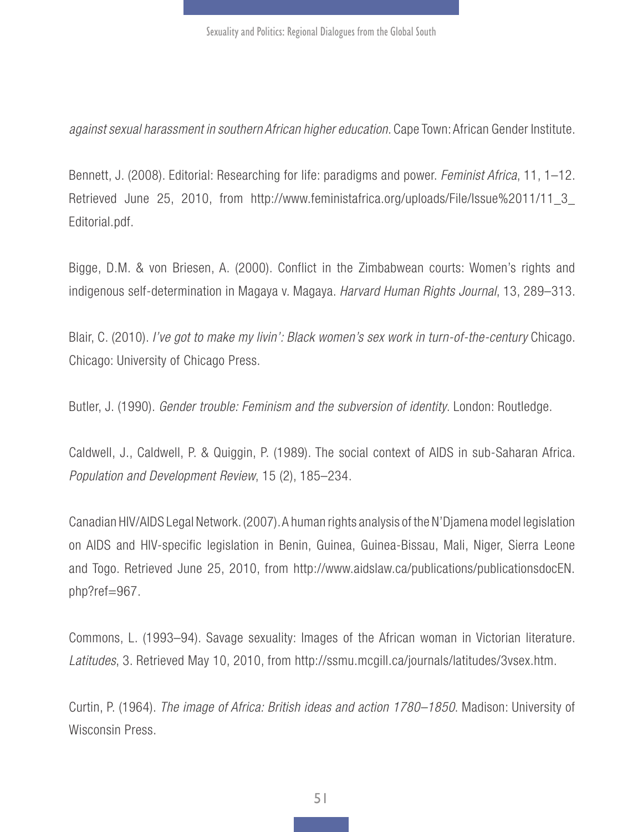*against sexual harassment in southern African higher education*. Cape Town: African Gender Institute.

Bennett, J. (2008). Editorial: Researching for life: paradigms and power. *Feminist Africa*, 11, 1–12. Retrieved June 25, 2010, from http://www.feministafrica.org/uploads/File/Issue%2011/11\_3\_ Editorial.pdf.

Bigge, D.M. & von Briesen, A. (2000). Conflict in the Zimbabwean courts: Women's rights and indigenous self-determination in Magaya v. Magaya. *Harvard Human Rights Journal*, 13, 289–313.

Blair, C. (2010). *I've got to make my livin': Black women's sex work in turn-of-the-century* Chicago. Chicago: University of Chicago Press.

Butler, J. (1990). *Gender trouble: Feminism and the subversion of identity*. London: Routledge.

Caldwell, J., Caldwell, P. & Quiggin, P. (1989). The social context of AIDS in sub-Saharan Africa. *Population and Development Review*, 15 (2), 185–234.

Canadian HIV/AIDS Legal Network. (2007). A human rights analysis of the N'Djamena model legislation on AIDS and HIV-specific legislation in Benin, Guinea, Guinea-Bissau, Mali, Niger, Sierra Leone and Togo. Retrieved June 25, 2010, from http://www.aidslaw.ca/publications/publicationsdocEN. php?ref=967.

Commons, L. (1993–94). Savage sexuality: Images of the African woman in Victorian literature. *Latitudes*, 3. Retrieved May 10, 2010, from http://ssmu.mcgill.ca/journals/latitudes/3vsex.htm.

Curtin, P. (1964). *The image of Africa: British ideas and action 1780–1850*. Madison: University of Wisconsin Press.

51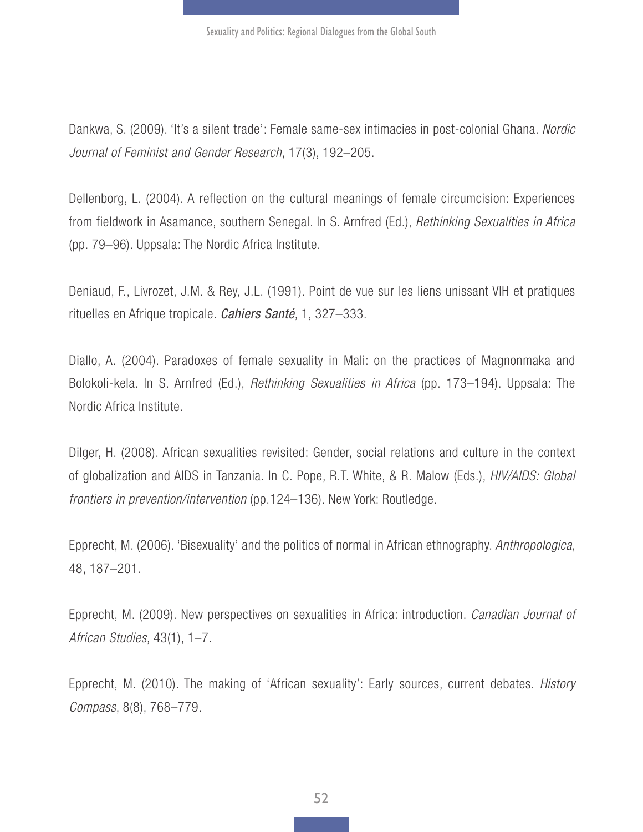Dankwa, S. (2009). 'It's a silent trade': Female same-sex intimacies in post-colonial Ghana. *Nordic Journal of Feminist and Gender Research*, 17(3), 192–205.

Dellenborg, L. (2004). A reflection on the cultural meanings of female circumcision: Experiences from fieldwork in Asamance, southern Senegal. In S. Arnfred (Ed.), *Rethinking Sexualities in Africa*  (pp. 79–96). Uppsala: The Nordic Africa Institute.

Deniaud, F., Livrozet, J.M. & Rey, J.L. (1991). Point de vue sur les liens unissant VIH et pratiques rituelles en Afrique tropicale. *Cahiers Santé*, 1, 327–333.

Diallo, A. (2004). Paradoxes of female sexuality in Mali: on the practices of Magnonmaka and Bolokoli-kela. In S. Arnfred (Ed.), *Rethinking Sexualities in Africa* (pp. 173–194). Uppsala: The Nordic Africa Institute.

Dilger, H. (2008). African sexualities revisited: Gender, social relations and culture in the context of globalization and AIDS in Tanzania. In C. Pope, R.T. White, & R. Malow (Eds.), *HIV/AIDS: Global frontiers in prevention/intervention* (pp.124–136). New York: Routledge.

Epprecht, M. (2006). 'Bisexuality' and the politics of normal in African ethnography. *Anthropologica*, 48, 187–201.

Epprecht, M. (2009). New perspectives on sexualities in Africa: introduction. *Canadian Journal of African Studies*, 43(1), 1–7.

Epprecht, M. (2010). The making of 'African sexuality': Early sources, current debates. *History Compass*, 8(8), 768–779.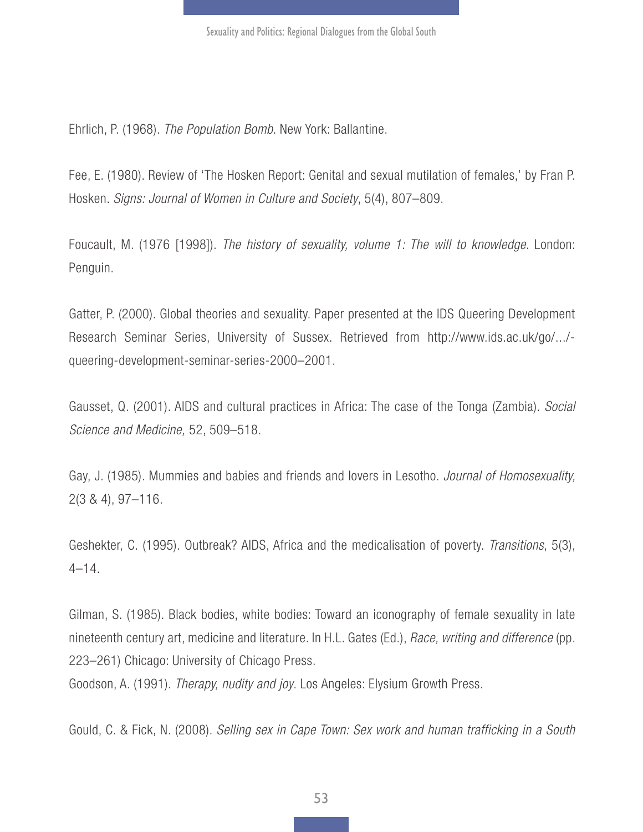Ehrlich, P. (1968). *The Population Bomb*. New York: Ballantine.

Fee, E. (1980). Review of 'The Hosken Report: Genital and sexual mutilation of females,' by Fran P. Hosken. *Signs: Journal of Women in Culture and Society*, 5(4), 807–809.

Foucault, M. (1976 [1998]). *The history of sexuality, volume 1: The will to knowledge*. London: Penguin.

Gatter, P. (2000). Global theories and sexuality. Paper presented at the IDS Queering Development Research Seminar Series, University of Sussex. Retrieved from http://www.ids.ac.uk/go/.../ queering-development-seminar-series-2000–2001.

Gausset, Q. (2001). AIDS and cultural practices in Africa: The case of the Tonga (Zambia). *Social Science and Medicine,* 52, 509–518.

Gay, J. (1985). Mummies and babies and friends and lovers in Lesotho. *Journal of Homosexuality,*  2(3 & 4), 97–116.

Geshekter, C. (1995). Outbreak? AIDS, Africa and the medicalisation of poverty. *Transitions*, 5(3),  $4 - 14$ .

Gilman, S. (1985). Black bodies, white bodies: Toward an iconography of female sexuality in late nineteenth century art, medicine and literature. In H.L. Gates (Ed.), *Race, writing and difference* (pp. 223–261) Chicago: University of Chicago Press.

Goodson, A. (1991). *Therapy, nudity and joy*. Los Angeles: Elysium Growth Press.

Gould, C. & Fick, N. (2008). *Selling sex in Cape Town: Sex work and human trafficking in a South*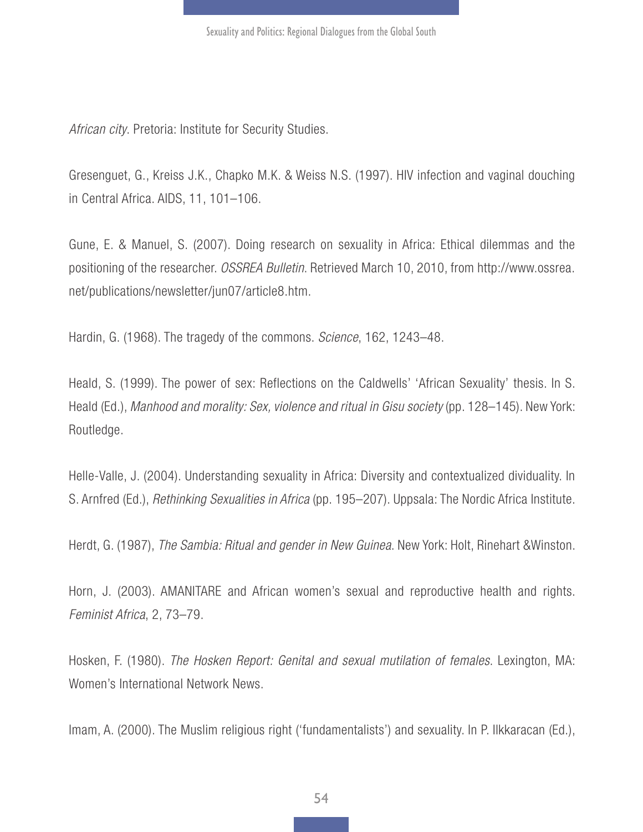*African city*. Pretoria: Institute for Security Studies.

Gresenguet, G., Kreiss J.K., Chapko M.K. & Weiss N.S. (1997). HIV infection and vaginal douching in Central Africa. AIDS, 11, 101–106.

Gune, E. & Manuel, S. (2007). Doing research on sexuality in Africa: Ethical dilemmas and the positioning of the researcher. *OSSREA Bulletin*. Retrieved March 10, 2010, from http://www.ossrea. net/publications/newsletter/jun07/article8.htm.

Hardin, G. (1968). The tragedy of the commons. *Science*, 162, 1243–48.

Heald, S. (1999). The power of sex: Reflections on the Caldwells' 'African Sexuality' thesis. In S. Heald (Ed.), *Manhood and morality: Sex, violence and ritual in Gisu society* (pp. 128–145). New York: Routledge.

Helle-Valle, J. (2004). Understanding sexuality in Africa: Diversity and contextualized dividuality. In S. Arnfred (Ed.), *Rethinking Sexualities in Africa* (pp. 195–207). Uppsala: The Nordic Africa Institute.

Herdt, G. (1987), *The Sambia: Ritual and gender in New Guinea*. New York: Holt, Rinehart &Winston.

Horn, J. (2003). AMANITARE and African women's sexual and reproductive health and rights. *Feminist Africa*, 2, 73–79.

Hosken, F. (1980). *The Hosken Report: Genital and sexual mutilation of females*. Lexington, MA: Women's International Network News.

Imam, A. (2000). The Muslim religious right ('fundamentalists') and sexuality. In P. Ilkkaracan (Ed.),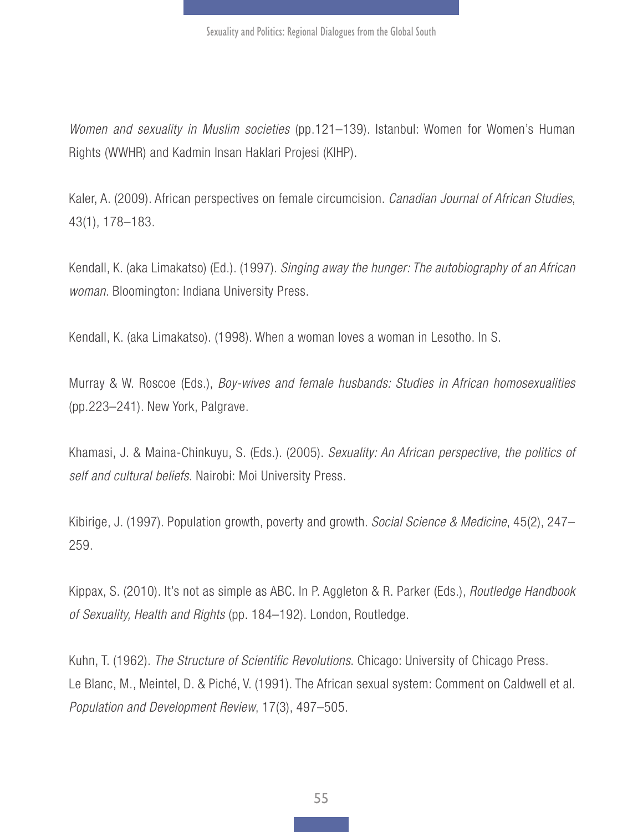*Women and sexuality in Muslim societies* (pp.121–139). Istanbul: Women for Women's Human Rights (WWHR) and Kadmin Insan Haklari Projesi (KIHP).

Kaler, A. (2009). African perspectives on female circumcision. *Canadian Journal of African Studies*, 43(1), 178–183.

Kendall, K. (aka Limakatso) (Ed.). (1997). *Singing away the hunger: The autobiography of an African woman*. Bloomington: Indiana University Press.

Kendall, K. (aka Limakatso). (1998). When a woman loves a woman in Lesotho. In S.

Murray & W. Roscoe (Eds.), *Boy-wives and female husbands: Studies in African homosexualities*  (pp.223–241). New York, Palgrave.

Khamasi, J. & Maina-Chinkuyu, S. (Eds.). (2005). *Sexuality: An African perspective, the politics of self and cultural beliefs*. Nairobi: Moi University Press.

Kibirige, J. (1997). Population growth, poverty and growth. *Social Science & Medicine*, 45(2), 247– 259.

Kippax, S. (2010). It's not as simple as ABC. In P. Aggleton & R. Parker (Eds.), *Routledge Handbook of Sexuality, Health and Rights* (pp. 184–192). London, Routledge.

Kuhn, T. (1962). *The Structure of Scientific Revolutions*. Chicago: University of Chicago Press. Le Blanc, M., Meintel, D. & Piché, V. (1991). The African sexual system: Comment on Caldwell et al. *Population and Development Review*, 17(3), 497–505.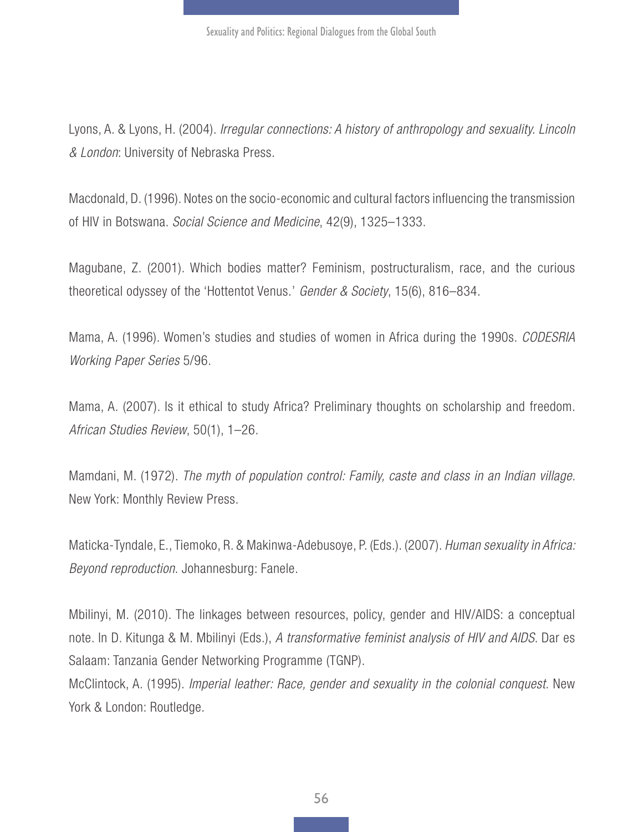Lyons, A. & Lyons, H. (2004). *Irregular connections: A history of anthropology and sexuality. Lincoln & London*: University of Nebraska Press.

Macdonald, D. (1996). Notes on the socio-economic and cultural factors influencing the transmission of HIV in Botswana. *Social Science and Medicine*, 42(9), 1325–1333.

Magubane, Z. (2001). Which bodies matter? Feminism, postructuralism, race, and the curious theoretical odyssey of the 'Hottentot Venus.' *Gender & Society*, 15(6), 816–834.

Mama, A. (1996). Women's studies and studies of women in Africa during the 1990s. *CODESRIA Working Paper Series* 5/96.

Mama, A. (2007). Is it ethical to study Africa? Preliminary thoughts on scholarship and freedom. *African Studies Review*, 50(1), 1–26.

Mamdani, M. (1972). *The myth of population control: Family, caste and class in an Indian village.*  New York: Monthly Review Press.

Maticka-Tyndale, E., Tiemoko, R. & Makinwa-Adebusoye, P. (Eds.). (2007). *Human sexuality in Africa: Beyond reproduction*. Johannesburg: Fanele.

Mbilinyi, M. (2010). The linkages between resources, policy, gender and HIV/AIDS: a conceptual note. In D. Kitunga & M. Mbilinyi (Eds.), *A transformative feminist analysis of HIV and AIDS*. Dar es Salaam: Tanzania Gender Networking Programme (TGNP).

McClintock, A. (1995). *Imperial leather: Race, gender and sexuality in the colonial conquest*. New York & London: Routledge.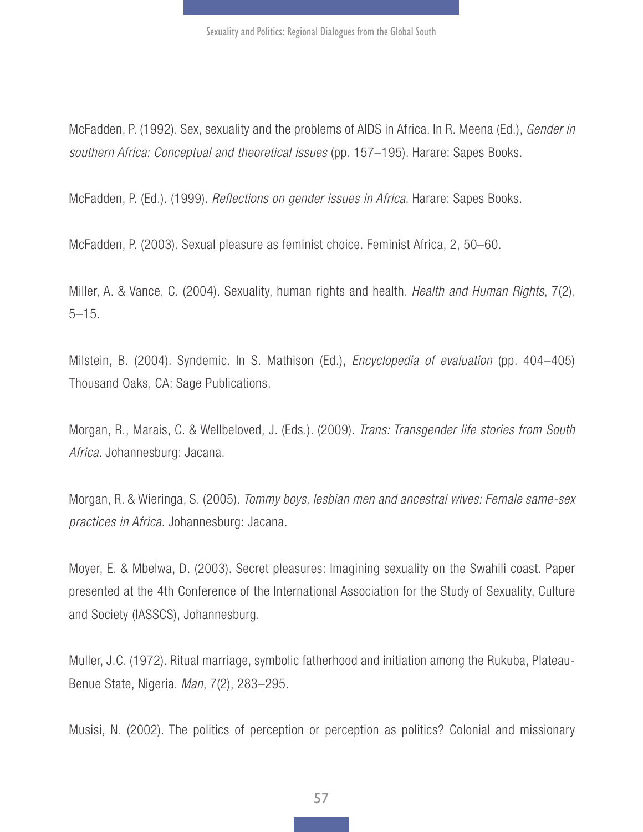McFadden, P. (1992). Sex, sexuality and the problems of AIDS in Africa. In R. Meena (Ed.), *Gender in southern Africa: Conceptual and theoretical issues* (pp. 157–195). Harare: Sapes Books.

McFadden, P. (Ed.). (1999). *Reflections on gender issues in Africa*. Harare: Sapes Books.

McFadden, P. (2003). Sexual pleasure as feminist choice. Feminist Africa, 2, 50–60.

Miller, A. & Vance, C. (2004). Sexuality, human rights and health. *Health and Human Rights*, 7(2), 5–15.

Milstein, B. (2004). Syndemic. In S. Mathison (Ed.), *Encyclopedia of evaluation* (pp. 404–405) Thousand Oaks, CA: Sage Publications.

Morgan, R., Marais, C. & Wellbeloved, J. (Eds.). (2009). *Trans: Transgender life stories from South Africa*. Johannesburg: Jacana.

Morgan, R. & Wieringa, S. (2005). *Tommy boys, lesbian men and ancestral wives: Female same-sex practices in Africa*. Johannesburg: Jacana.

Moyer, E. & Mbelwa, D. (2003). Secret pleasures: Imagining sexuality on the Swahili coast. Paper presented at the 4th Conference of the International Association for the Study of Sexuality, Culture and Society (IASSCS), Johannesburg.

Muller, J.C. (1972). Ritual marriage, symbolic fatherhood and initiation among the Rukuba, Plateau-Benue State, Nigeria. *Man*, 7(2), 283–295.

Musisi, N. (2002). The politics of perception or perception as politics? Colonial and missionary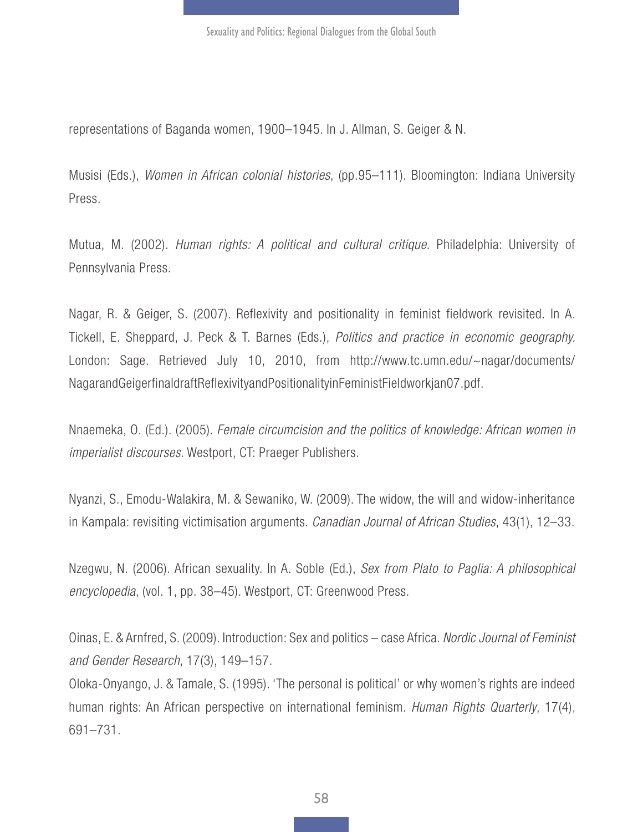representations of Baganda women, 1900–1945. In J. Allman, S. Geiger & N.

Musisi (Eds.), *Women in African colonial histories*, (pp.95–111). Bloomington: Indiana University Press.

Mutua, M. (2002). *Human rights: A political and cultural critique*. Philadelphia: University of Pennsylvania Press.

Nagar, R. & Geiger, S. (2007). Reflexivity and positionality in feminist fieldwork revisited. In A. Tickell, E. Sheppard, J. Peck & T. Barnes (Eds.), *Politics and practice in economic geography.*  London: Sage. Retrieved July 10, 2010, from http://www.tc.umn.edu/~nagar/documents/ NagarandGeigerfinaldraftReflexivityandPositionalityinFeministFieldworkjan07.pdf.

Nnaemeka, O. (Ed.). (2005). *Female circumcision and the politics of knowledge: African women in imperialist discourses*. Westport, CT: Praeger Publishers.

Nyanzi, S., Emodu-Walakira, M. & Sewaniko, W. (2009). The widow, the will and widow-inheritance in Kampala: revisiting victimisation arguments. *Canadian Journal of African Studies*, 43(1), 12–33.

Nzegwu, N. (2006). African sexuality. In A. Soble (Ed.), *Sex from Plato to Paglia: A philosophical encyclopedia*, (vol. 1, pp. 38–45). Westport, CT: Greenwood Press.

Oinas, E. & Arnfred, S. (2009). Introduction: Sex and politics – case Africa. *Nordic Journal of Feminist and Gender Research*, 17(3), 149–157.

Oloka-Onyango, J. & Tamale, S. (1995). 'The personal is political' or why women's rights are indeed human rights: An African perspective on international feminism. *Human Rights Quarterly*, 17(4), 691–731.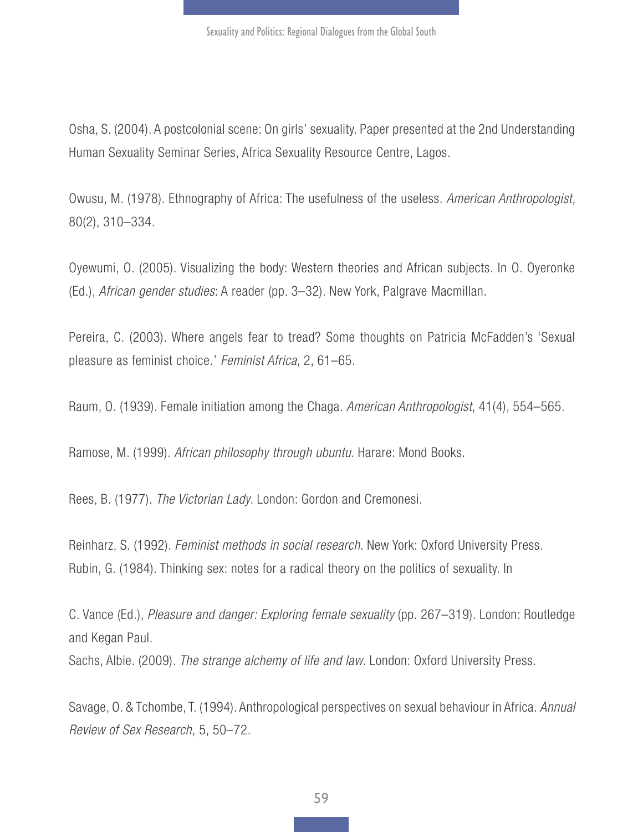Osha, S. (2004). A postcolonial scene: On girls' sexuality. Paper presented at the 2nd Understanding Human Sexuality Seminar Series, Africa Sexuality Resource Centre, Lagos.

Owusu, M. (1978). Ethnography of Africa: The usefulness of the useless. *American Anthropologist,*  80(2), 310–334.

Oyewumi, O. (2005). Visualizing the body: Western theories and African subjects. In O. Oyeronke (Ed.), *African gender studies*: A reader (pp. 3–32). New York, Palgrave Macmillan.

Pereira, C. (2003). Where angels fear to tread? Some thoughts on Patricia McFadden's 'Sexual pleasure as feminist choice.' *Feminist Africa*, 2, 61–65.

Raum, O. (1939). Female initiation among the Chaga. *American Anthropologist*, 41(4), 554–565.

Ramose, M. (1999). *African philosophy through ubuntu*. Harare: Mond Books.

Rees, B. (1977). *The Victorian Lady*. London: Gordon and Cremonesi.

Reinharz, S. (1992). *Feminist methods in social research*. New York: Oxford University Press. Rubin, G. (1984). Thinking sex: notes for a radical theory on the politics of sexuality. In

C. Vance (Ed.), *Pleasure and danger: Exploring female sexuality* (pp. 267–319). London: Routledge and Kegan Paul. Sachs, Albie. (2009). *The strange alchemy of life and law*. London: Oxford University Press.

Savage, O. & Tchombe, T. (1994). Anthropological perspectives on sexual behaviour in Africa. *Annual Review of Sex Research,* 5, 50–72.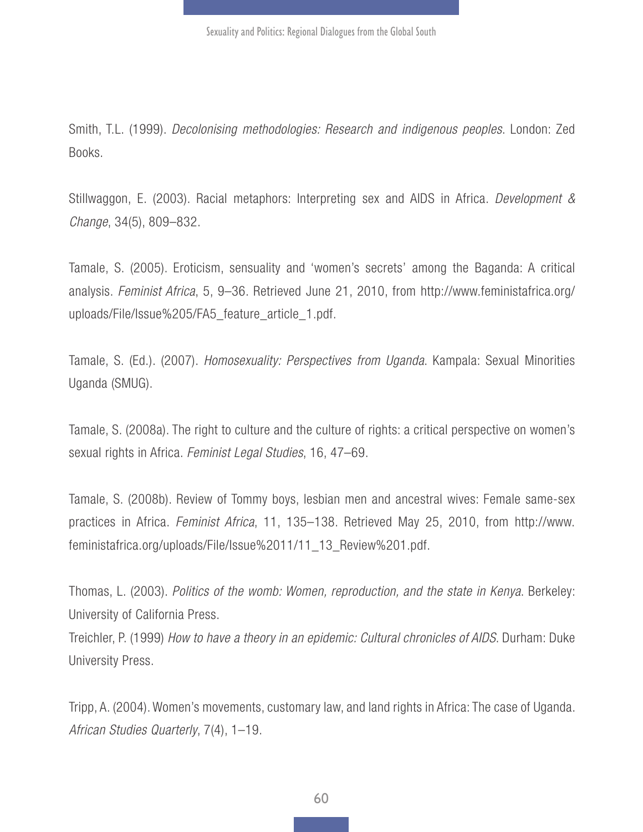Smith, T.L. (1999). *Decolonising methodologies: Research and indigenous peoples*. London: Zed Books.

Stillwaggon, E. (2003). Racial metaphors: Interpreting sex and AIDS in Africa. *Development & Change*, 34(5), 809–832.

Tamale, S. (2005). Eroticism, sensuality and 'women's secrets' among the Baganda: A critical analysis. *Feminist Africa*, 5, 9–36. Retrieved June 21, 2010, from http://www.feministafrica.org/ uploads/File/Issue%205/FA5\_feature\_article\_1.pdf.

Tamale, S. (Ed.). (2007). *Homosexuality: Perspectives from Uganda*. Kampala: Sexual Minorities Uganda (SMUG).

Tamale, S. (2008a). The right to culture and the culture of rights: a critical perspective on women's sexual rights in Africa. *Feminist Legal Studies*, 16, 47–69.

Tamale, S. (2008b). Review of Tommy boys, lesbian men and ancestral wives: Female same-sex practices in Africa. *Feminist Africa*, 11, 135–138. Retrieved May 25, 2010, from http://www. feministafrica.org/uploads/File/Issue%2011/11\_13\_Review%201.pdf.

Thomas, L. (2003). *Politics of the womb: Women, reproduction, and the state in Kenya*. Berkeley: University of California Press.

Treichler, P. (1999) *How to have a theory in an epidemic: Cultural chronicles of AIDS*. Durham: Duke University Press.

Tripp, A. (2004). Women's movements, customary law, and land rights in Africa: The case of Uganda. *African Studies Quarterly*, 7(4), 1–19.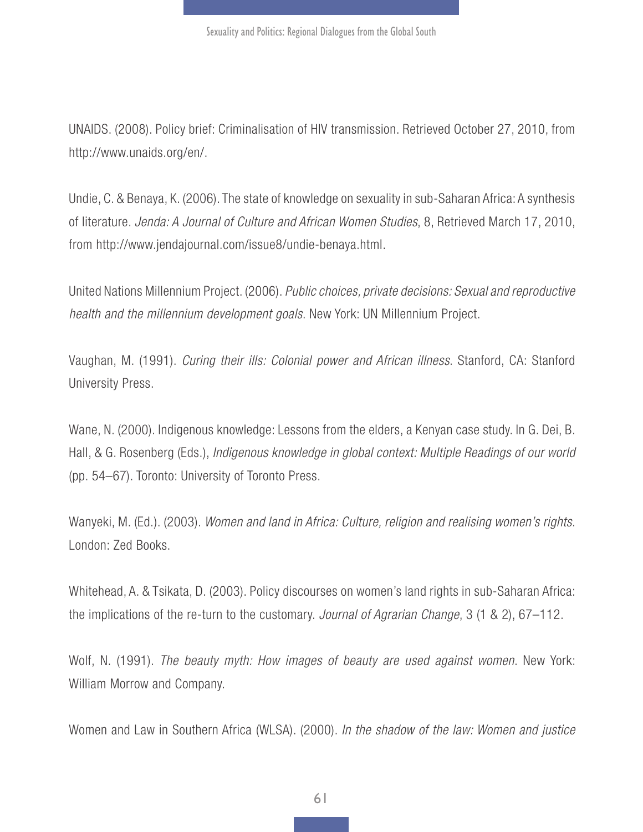UNAIDS. (2008). Policy brief: Criminalisation of HIV transmission. Retrieved October 27, 2010, from http://www.unaids.org/en/.

Undie, C. & Benaya, K. (2006). The state of knowledge on sexuality in sub-Saharan Africa: A synthesis of literature. *Jenda: A Journal of Culture and African Women Studies*, 8, Retrieved March 17, 2010, from http://www.jendajournal.com/issue8/undie-benaya.html.

United Nations Millennium Project. (2006). *Public choices, private decisions: Sexual and reproductive health and the millennium development goals*. New York: UN Millennium Project.

Vaughan, M. (1991). *Curing their ills: Colonial power and African illness*. Stanford, CA: Stanford University Press.

Wane, N. (2000). Indigenous knowledge: Lessons from the elders, a Kenyan case study. In G. Dei, B. Hall, & G. Rosenberg (Eds.), *Indigenous knowledge in global context: Multiple Readings of our world*  (pp. 54–67). Toronto: University of Toronto Press.

Wanyeki, M. (Ed.). (2003). *Women and land in Africa: Culture, religion and realising women's rights*. London: Zed Books.

Whitehead, A. & Tsikata, D. (2003). Policy discourses on women's land rights in sub-Saharan Africa: the implications of the re-turn to the customary. *Journal of Agrarian Change*, 3 (1 & 2), 67–112.

Wolf, N. (1991). *The beauty myth: How images of beauty are used against women*. New York: William Morrow and Company.

Women and Law in Southern Africa (WLSA). (2000). *In the shadow of the law: Women and justice*